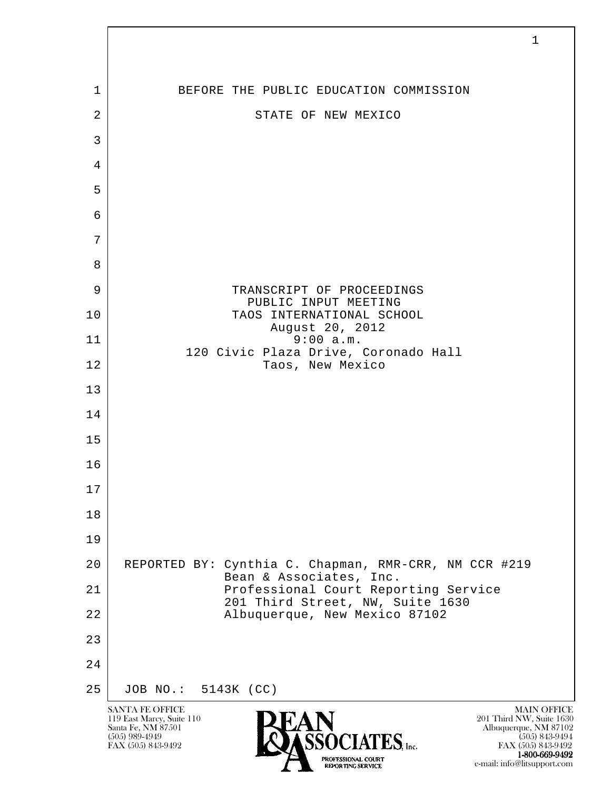| 1              | BEFORE THE PUBLIC EDUCATION COMMISSION                                                                                                                                                                                    |
|----------------|---------------------------------------------------------------------------------------------------------------------------------------------------------------------------------------------------------------------------|
| $\overline{2}$ | STATE OF NEW MEXICO                                                                                                                                                                                                       |
| 3              |                                                                                                                                                                                                                           |
| $\overline{4}$ |                                                                                                                                                                                                                           |
| 5              |                                                                                                                                                                                                                           |
| 6              |                                                                                                                                                                                                                           |
| 7              |                                                                                                                                                                                                                           |
| 8              |                                                                                                                                                                                                                           |
| 9              | TRANSCRIPT OF PROCEEDINGS<br>PUBLIC INPUT MEETING                                                                                                                                                                         |
| 10             | TAOS INTERNATIONAL SCHOOL<br>August 20, 2012                                                                                                                                                                              |
| 11             | 9:00 a.m.<br>120 Civic Plaza Drive, Coronado Hall                                                                                                                                                                         |
| 12             | Taos, New Mexico                                                                                                                                                                                                          |
| 13             |                                                                                                                                                                                                                           |
| 14             |                                                                                                                                                                                                                           |
| 15             |                                                                                                                                                                                                                           |
| 16             |                                                                                                                                                                                                                           |
| 17             |                                                                                                                                                                                                                           |
| 18             |                                                                                                                                                                                                                           |
| 19             |                                                                                                                                                                                                                           |
| 20             | REPORTED BY: Cynthia C. Chapman, RMR-CRR, NM CCR #219<br>Bean & Associates, Inc.                                                                                                                                          |
| 21             | Professional Court Reporting Service<br>201 Third Street, NW, Suite 1630                                                                                                                                                  |
| 22             | Albuquerque, New Mexico 87102                                                                                                                                                                                             |
| 23<br>24       |                                                                                                                                                                                                                           |
| 25             | JOB NO.: 5143K (CC)                                                                                                                                                                                                       |
|                | <b>SANTA FE OFFICE</b><br><b>MAIN OFFICE</b>                                                                                                                                                                              |
|                | 119 East Marcy, Suite 110<br>201 Third NW, Suite 1630<br>Santa Fe, NM 87501<br>Albuquerque, NM 87102<br>$(505)$ 989-4949<br>$(505)$ 843-9494<br>$ES$ , Inc.<br>FAX (505) 843-9492<br>FAX (505) 843-9492<br>1-800-669-9492 |

e-mail: info@litsupport.com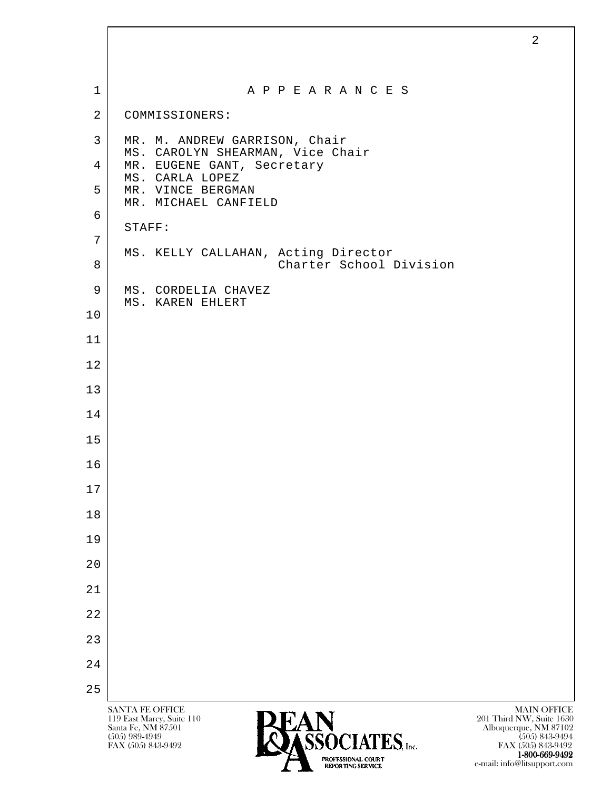| $\mathbf{1}$   | A P P E A R A N C E S                                                             |
|----------------|-----------------------------------------------------------------------------------|
| $\overline{a}$ | COMMISSIONERS:                                                                    |
| 3              | MR. M. ANDREW GARRISON, Chair                                                     |
| 4              | MS. CAROLYN SHEARMAN, Vice Chair<br>MR. EUGENE GANT, Secretary<br>MS. CARLA LOPEZ |
| 5              | MR. VINCE BERGMAN                                                                 |
| 6              | MR. MICHAEL CANFIELD                                                              |
| 7              | STAFF:                                                                            |
| 8              | MS. KELLY CALLAHAN, Acting Director<br>Charter School Division                    |
| 9              | MS. CORDELIA CHAVEZ<br>MS. KAREN EHLERT                                           |
| 10             |                                                                                   |
| 11             |                                                                                   |
| 12             |                                                                                   |
| 13             |                                                                                   |
| 14             |                                                                                   |
| 15             |                                                                                   |
| 16             |                                                                                   |
| 17             |                                                                                   |
| 18             |                                                                                   |
| 19             |                                                                                   |
| 20             |                                                                                   |
| 21             |                                                                                   |
| 22             |                                                                                   |
| 23             |                                                                                   |
| 24             |                                                                                   |
| 25             |                                                                                   |

**1-800-669-9492**<br> **EXALTENDAM CN BT** e-mail: info@litsupport.com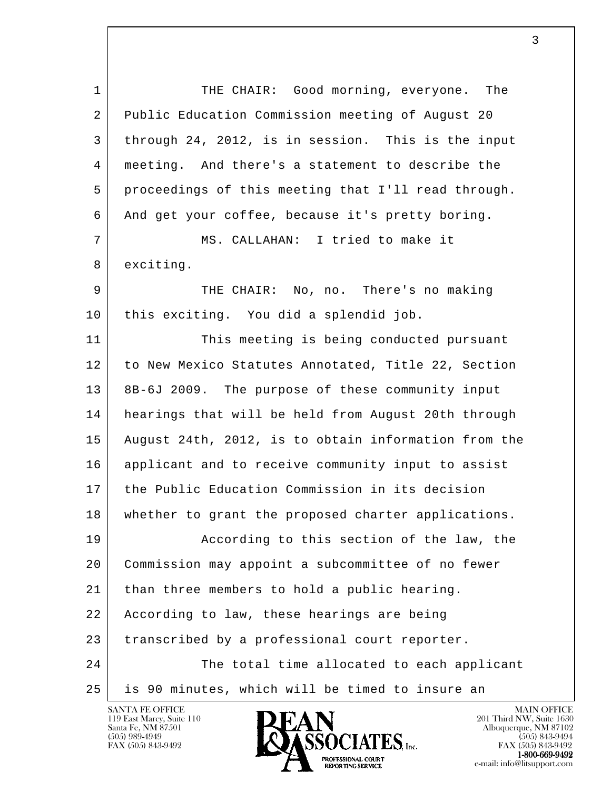l 1 THE CHAIR: Good morning, everyone. The 2 Public Education Commission meeting of August 20 3 through 24, 2012, is in session. This is the input 4 meeting. And there's a statement to describe the 5 proceedings of this meeting that I'll read through. 6 And get your coffee, because it's pretty boring. 7 MS. CALLAHAN: I tried to make it 8 exciting. 9 THE CHAIR: No, no. There's no making 10 this exciting. You did a splendid job. 11 This meeting is being conducted pursuant 12 to New Mexico Statutes Annotated, Title 22, Section 13 8B-6J 2009. The purpose of these community input 14 hearings that will be held from August 20th through 15 August 24th, 2012, is to obtain information from the 16 applicant and to receive community input to assist 17 the Public Education Commission in its decision 18 whether to grant the proposed charter applications. 19 According to this section of the law, the 20 Commission may appoint a subcommittee of no fewer 21 than three members to hold a public hearing. 22 According to law, these hearings are being 23 transcribed by a professional court reporter. 24 The total time allocated to each applicant 25 is 90 minutes, which will be timed to insure an

119 East Marcy, Suite 110<br>Santa Fe, NM 87501



FAX (505) 843-9492 FAX (505) 843-9492 **1-800-669-9492**<br>PROFESSIONAL COURT **EXECUTE EXECUTE:**<br>REPORTING SERVICE e-mail: info@litsupport.com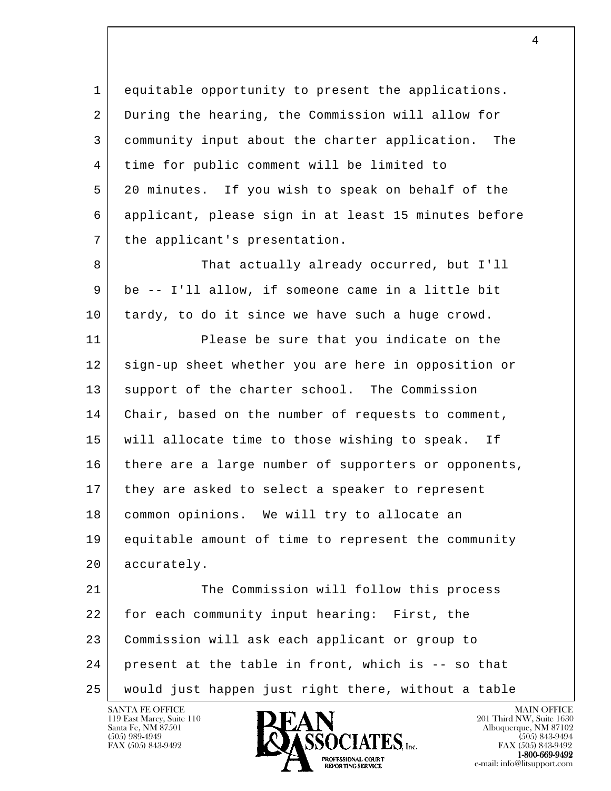1 equitable opportunity to present the applications. 2 During the hearing, the Commission will allow for 3 community input about the charter application. The 4 time for public comment will be limited to 5 20 minutes. If you wish to speak on behalf of the 6 applicant, please sign in at least 15 minutes before 7 | the applicant's presentation.

8 That actually already occurred, but I'll 9 be -- I'll allow, if someone came in a little bit 10 tardy, to do it since we have such a huge crowd.

11 Please be sure that you indicate on the 12 sign-up sheet whether you are here in opposition or 13 support of the charter school. The Commission 14 | Chair, based on the number of requests to comment, 15 will allocate time to those wishing to speak. If 16 | there are a large number of supporters or opponents, 17 they are asked to select a speaker to represent 18 common opinions. We will try to allocate an 19 equitable amount of time to represent the community 20 accurately.

l 21 The Commission will follow this process 22 for each community input hearing: First, the 23 Commission will ask each applicant or group to  $24$  present at the table in front, which is -- so that 25 would just happen just right there, without a table

119 East Marcy, Suite 110<br>Santa Fe, NM 87501



FAX (505) 843-9492 FAX (505) 843-9492 **EXPORTING SERVICE**<br>REPORTING SERVICE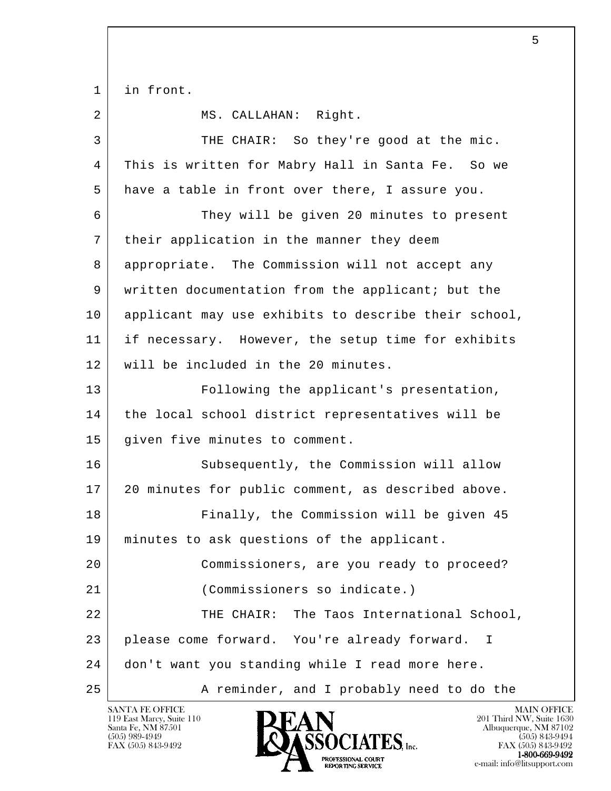1 in front.

2 MS. CALLAHAN: Right.

l 3 THE CHAIR: So they're good at the mic. 4 This is written for Mabry Hall in Santa Fe. So we 5 have a table in front over there, I assure you. 6 They will be given 20 minutes to present 7 | their application in the manner they deem 8 appropriate. The Commission will not accept any 9 written documentation from the applicant; but the 10 | applicant may use exhibits to describe their school, 11 if necessary. However, the setup time for exhibits 12 will be included in the 20 minutes. 13 Following the applicant's presentation, 14 | the local school district representatives will be 15 given five minutes to comment. 16 Subsequently, the Commission will allow 17 20 minutes for public comment, as described above. 18 Finally, the Commission will be given 45 19 minutes to ask questions of the applicant. 20 Commissioners, are you ready to proceed? 21 (Commissioners so indicate.) 22 | THE CHAIR: The Taos International School, 23 please come forward. You're already forward. I 24 don't want you standing while I read more here. 25 A reminder, and I probably need to do the

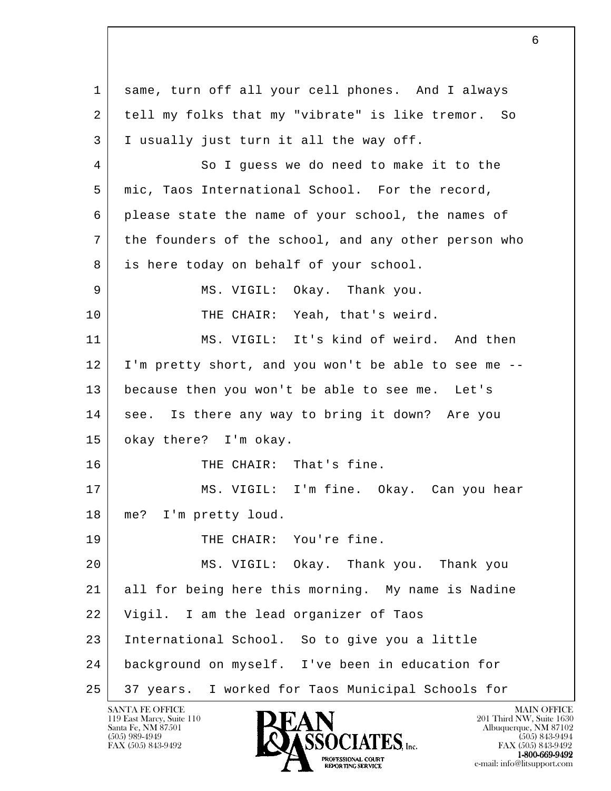l 1 same, turn off all your cell phones. And I always 2 tell my folks that my "vibrate" is like tremor. So 3 I usually just turn it all the way off. 4 So I guess we do need to make it to the 5 mic, Taos International School. For the record, 6 please state the name of your school, the names of 7 the founders of the school, and any other person who 8 is here today on behalf of your school. 9 MS. VIGIL: Okay. Thank you. 10 THE CHAIR: Yeah, that's weird. 11 MS. VIGIL: It's kind of weird. And then 12 I'm pretty short, and you won't be able to see me -- 13 because then you won't be able to see me. Let's 14 see. Is there any way to bring it down? Are you 15 okay there? I'm okay. 16 THE CHAIR: That's fine. 17 | MS. VIGIL: I'm fine. Okay. Can you hear 18 | me? I'm pretty loud. 19 | THE CHAIR: You're fine. 20 MS. VIGIL: Okay. Thank you. Thank you 21 all for being here this morning. My name is Nadine 22 Vigil. I am the lead organizer of Taos 23 International School. So to give you a little 24 background on myself. I've been in education for 25 37 years. I worked for Taos Municipal Schools for

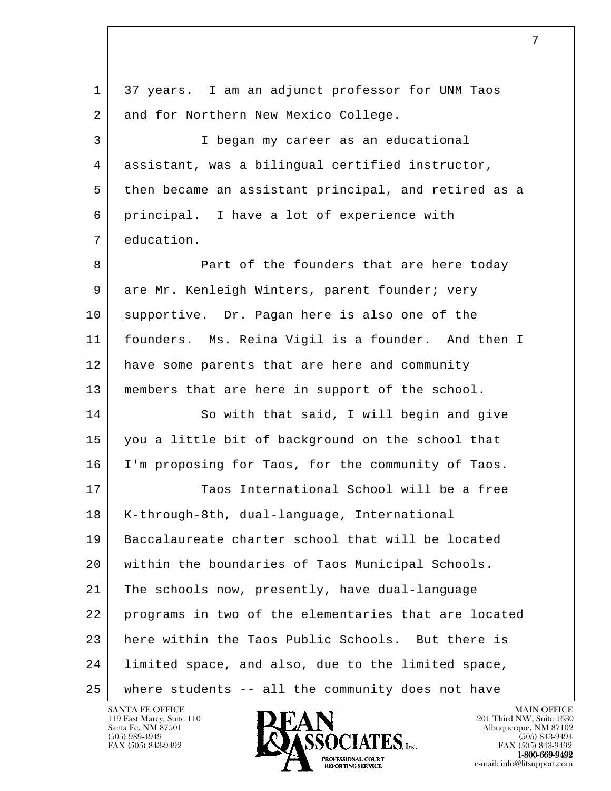l 1 37 years. I am an adjunct professor for UNM Taos 2 and for Northern New Mexico College. 3 I began my career as an educational 4 assistant, was a bilingual certified instructor, 5 then became an assistant principal, and retired as a 6 principal. I have a lot of experience with 7 education. 8 **Part of the founders that are here today** 9 are Mr. Kenleigh Winters, parent founder; very 10 supportive. Dr. Pagan here is also one of the 11 founders. Ms. Reina Vigil is a founder. And then I 12 have some parents that are here and community 13 | members that are here in support of the school. 14 So with that said, I will begin and give 15 you a little bit of background on the school that 16 I'm proposing for Taos, for the community of Taos. 17 Taos International School will be a free 18 | K-through-8th, dual-language, International 19 Baccalaureate charter school that will be located 20 within the boundaries of Taos Municipal Schools. 21 The schools now, presently, have dual-language 22 programs in two of the elementaries that are located 23 here within the Taos Public Schools. But there is 24 limited space, and also, due to the limited space, 25 where students -- all the community does not have

119 East Marcy, Suite 110<br>Santa Fe, NM 87501

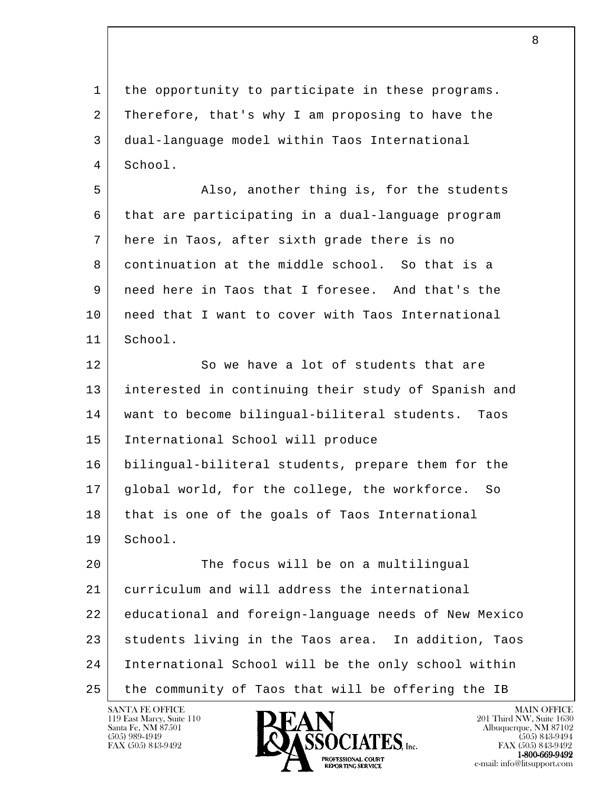l 1 the opportunity to participate in these programs. 2 Therefore, that's why I am proposing to have the 3 dual-language model within Taos International 4 School. 5 Also, another thing is, for the students 6 that are participating in a dual-language program 7 here in Taos, after sixth grade there is no 8 continuation at the middle school. So that is a 9 need here in Taos that I foresee. And that's the 10 | need that I want to cover with Taos International 11 School. 12 So we have a lot of students that are 13 interested in continuing their study of Spanish and 14 want to become bilingual-biliteral students. Taos 15 International School will produce 16 bilingual-biliteral students, prepare them for the 17 global world, for the college, the workforce. So 18 that is one of the goals of Taos International 19 School. 20 The focus will be on a multilingual 21 curriculum and will address the international 22 educational and foreign-language needs of New Mexico 23 students living in the Taos area. In addition, Taos 24 International School will be the only school within 25 the community of Taos that will be offering the IB

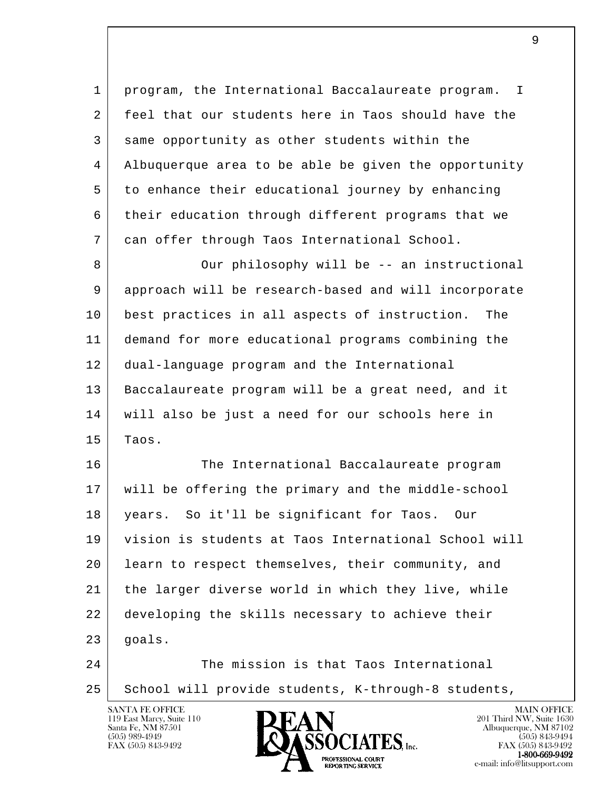1 program, the International Baccalaureate program. I 2 feel that our students here in Taos should have the 3 same opportunity as other students within the 4 Albuquerque area to be able be given the opportunity 5 to enhance their educational journey by enhancing 6 their education through different programs that we 7 can offer through Taos International School.

8 Our philosophy will be -- an instructional 9 approach will be research-based and will incorporate 10 best practices in all aspects of instruction. The 11 demand for more educational programs combining the 12 dual-language program and the International 13 | Baccalaureate program will be a great need, and it 14 will also be just a need for our schools here in  $15$  Taos.

l 16 The International Baccalaureate program 17 will be offering the primary and the middle-school 18 years. So it'll be significant for Taos. Our 19 vision is students at Taos International School will 20 learn to respect themselves, their community, and 21 the larger diverse world in which they live, while 22 developing the skills necessary to achieve their  $23$  qoals. 24 The mission is that Taos International

25 | School will provide students, K-through-8 students,

119 East Marcy, Suite 110<br>Santa Fe, NM 87501



FAX (505) 843-9492 FAX (505) 843-9492 **1-800-669-9492**<br>PROFESSIONAL COURT **EXPORTING SERVICE**<br>REPORTING SERVICE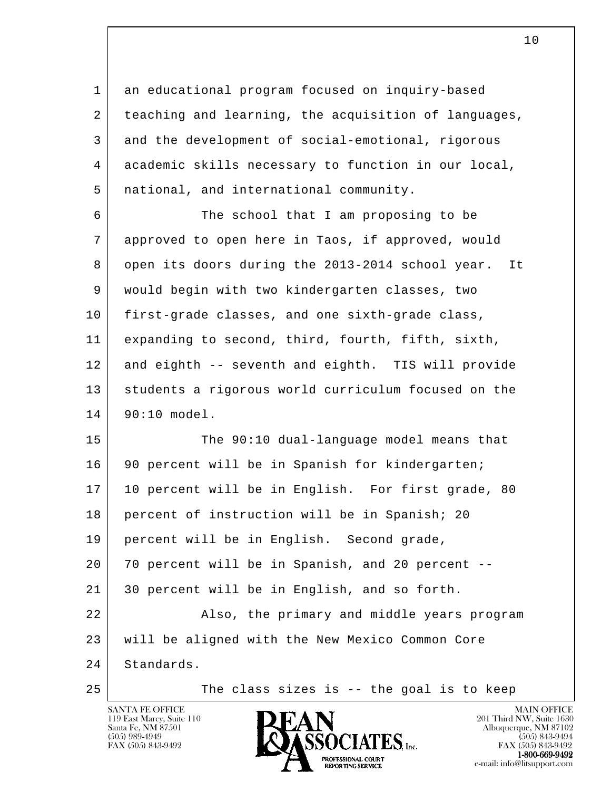1 an educational program focused on inquiry-based 2 teaching and learning, the acquisition of languages, 3 and the development of social-emotional, rigorous 4 academic skills necessary to function in our local, 5 national, and international community.

 6 The school that I am proposing to be 7 approved to open here in Taos, if approved, would 8 open its doors during the 2013-2014 school year. It 9 would begin with two kindergarten classes, two 10 first-grade classes, and one sixth-grade class, 11 expanding to second, third, fourth, fifth, sixth, 12 and eighth -- seventh and eighth. TIS will provide 13 students a rigorous world curriculum focused on the 14 90:10 model.

l 15 The 90:10 dual-language model means that 16 | 90 percent will be in Spanish for kindergarten; 17 | 10 percent will be in English. For first grade, 80 18 percent of instruction will be in Spanish; 20 19 percent will be in English. Second grade, 20 70 percent will be in Spanish, and 20 percent -- 21 30 percent will be in English, and so forth. 22 | Also, the primary and middle years program 23 will be aligned with the New Mexico Common Core 24 Standards.

119 East Marcy, Suite 110<br>Santa Fe, NM 87501

25 The class sizes is -- the goal is to keep



FAX (505) 843-9492 FAX (505) 843-9492 **EXPORTING SERVICE**<br>REPORTING SERVICE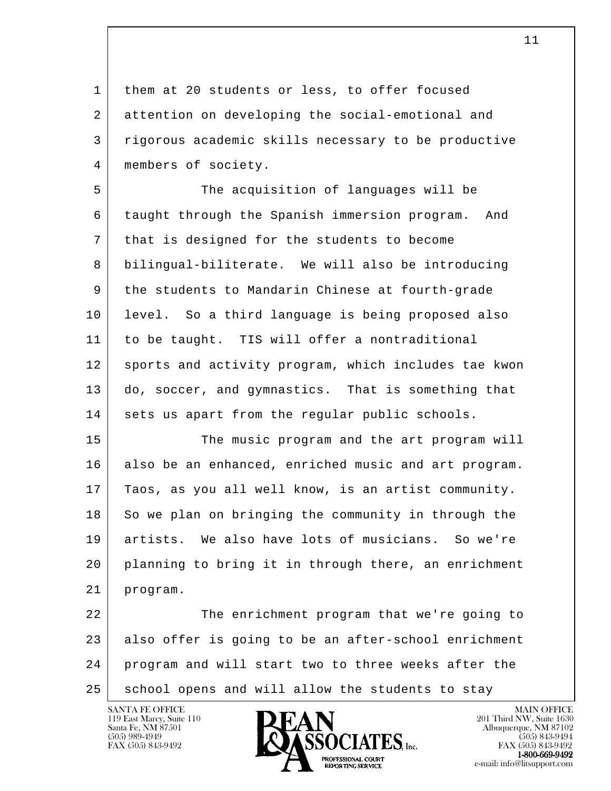1 them at 20 students or less, to offer focused 2 attention on developing the social-emotional and 3 rigorous academic skills necessary to be productive 4 | members of society.

 5 The acquisition of languages will be 6 taught through the Spanish immersion program. And 7 that is designed for the students to become 8 bilingual-biliterate. We will also be introducing 9 the students to Mandarin Chinese at fourth-grade 10 level. So a third language is being proposed also 11 to be taught. TIS will offer a nontraditional 12 sports and activity program, which includes tae kwon 13 do, soccer, and gymnastics. That is something that 14 sets us apart from the regular public schools.

15 The music program and the art program will 16 also be an enhanced, enriched music and art program. 17 Taos, as you all well know, is an artist community. 18 So we plan on bringing the community in through the 19 artists. We also have lots of musicians. So we're 20 planning to bring it in through there, an enrichment 21 program.

l 22 The enrichment program that we're going to 23 also offer is going to be an after-school enrichment 24 program and will start two to three weeks after the 25 | school opens and will allow the students to stay

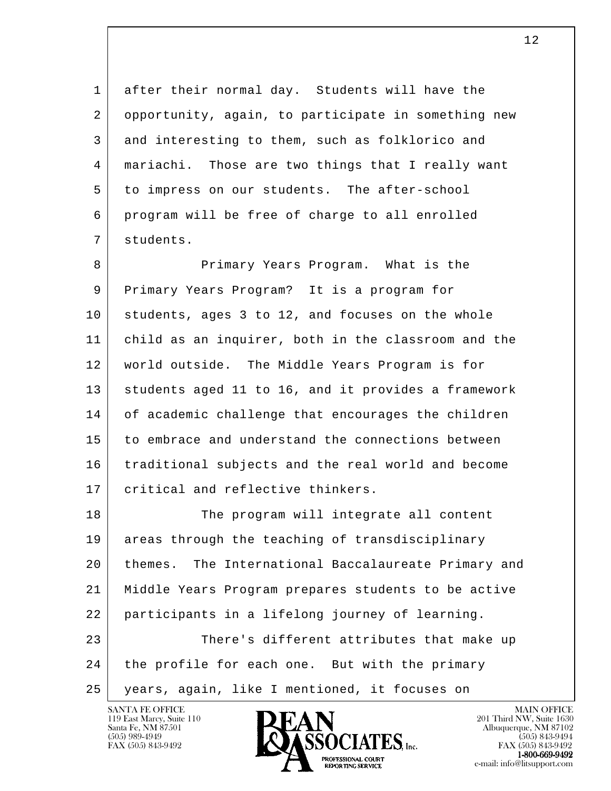1 after their normal day. Students will have the 2 opportunity, again, to participate in something new 3 and interesting to them, such as folklorico and 4 mariachi. Those are two things that I really want 5 to impress on our students. The after-school 6 program will be free of charge to all enrolled 7 students.

8 Primary Years Program. What is the 9 Primary Years Program? It is a program for 10 students, ages 3 to 12, and focuses on the whole 11 child as an inquirer, both in the classroom and the 12 world outside. The Middle Years Program is for 13 students aged 11 to 16, and it provides a framework 14 of academic challenge that encourages the children 15 to embrace and understand the connections between 16 traditional subjects and the real world and become 17 critical and reflective thinkers.

l 18 The program will integrate all content 19 areas through the teaching of transdisciplinary 20 themes. The International Baccalaureate Primary and 21 Middle Years Program prepares students to be active 22 participants in a lifelong journey of learning. 23 There's different attributes that make up 24 the profile for each one. But with the primary 25 years, again, like I mentioned, it focuses on

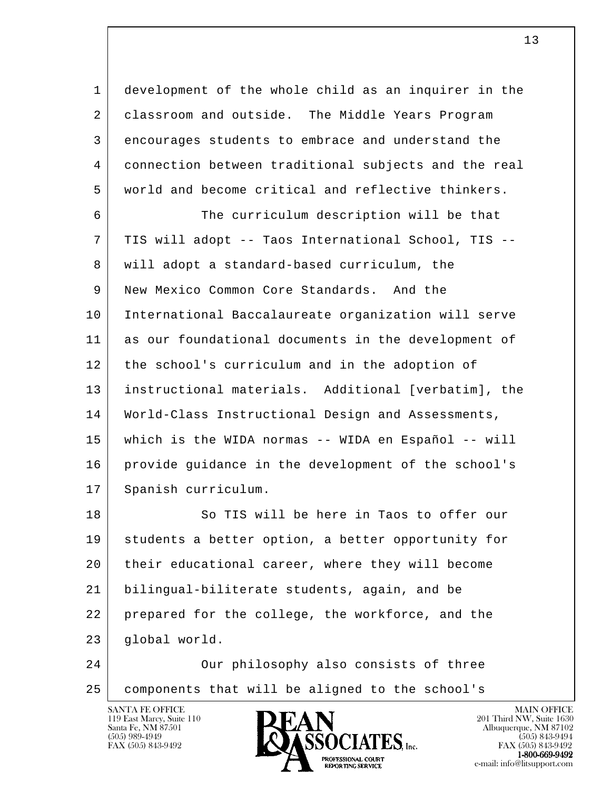1 development of the whole child as an inquirer in the 2 | classroom and outside. The Middle Years Program 3 encourages students to embrace and understand the 4 connection between traditional subjects and the real 5 world and become critical and reflective thinkers.

 6 The curriculum description will be that 7 TIS will adopt -- Taos International School, TIS -- 8 will adopt a standard-based curriculum, the 9 New Mexico Common Core Standards. And the 10 International Baccalaureate organization will serve 11 as our foundational documents in the development of 12 the school's curriculum and in the adoption of 13 instructional materials. Additional [verbatim], the 14 World-Class Instructional Design and Assessments, 15 which is the WIDA normas -- WIDA en Español -- will 16 provide guidance in the development of the school's 17 Spanish curriculum.

l 18 So TIS will be here in Taos to offer our 19 students a better option, a better opportunity for 20 their educational career, where they will become 21 bilingual-biliterate students, again, and be 22 prepared for the college, the workforce, and the 23 | qlobal world.

 24 Our philosophy also consists of three 25 components that will be aligned to the school's

119 East Marcy, Suite 110<br>Santa Fe, NM 87501



FAX (505) 843-9492 FAX (505) 843-9492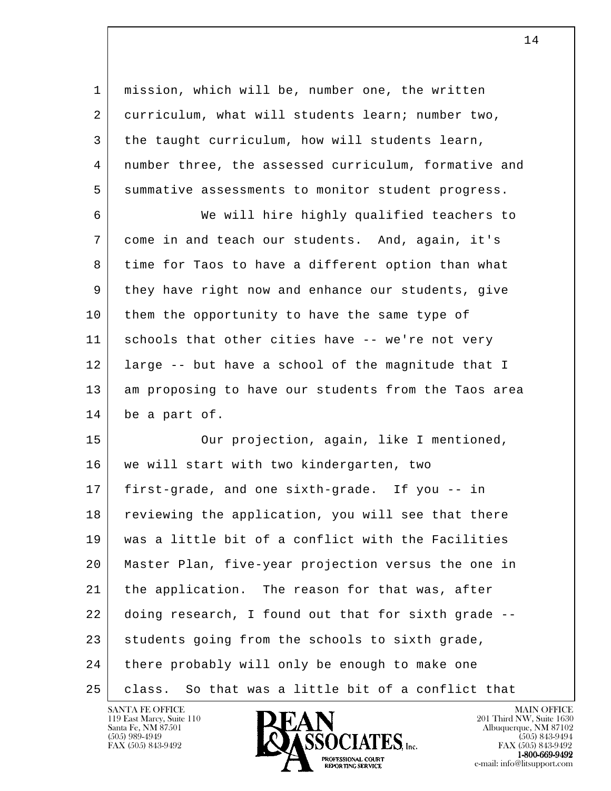l 1 mission, which will be, number one, the written 2 curriculum, what will students learn; number two, 3 the taught curriculum, how will students learn, 4 number three, the assessed curriculum, formative and 5 summative assessments to monitor student progress. 6 We will hire highly qualified teachers to 7 come in and teach our students. And, again, it's 8 time for Taos to have a different option than what 9 they have right now and enhance our students, give 10 | them the opportunity to have the same type of 11 schools that other cities have -- we're not very 12 large -- but have a school of the magnitude that I 13 am proposing to have our students from the Taos area 14 be a part of. 15 Our projection, again, like I mentioned, 16 | we will start with two kindergarten, two 17 first-grade, and one sixth-grade. If you -- in 18 reviewing the application, you will see that there 19 was a little bit of a conflict with the Facilities 20 Master Plan, five-year projection versus the one in 21 the application. The reason for that was, after 22 doing research, I found out that for sixth grade -- 23 students going from the schools to sixth grade, 24 there probably will only be enough to make one 25 | class. So that was a little bit of a conflict that

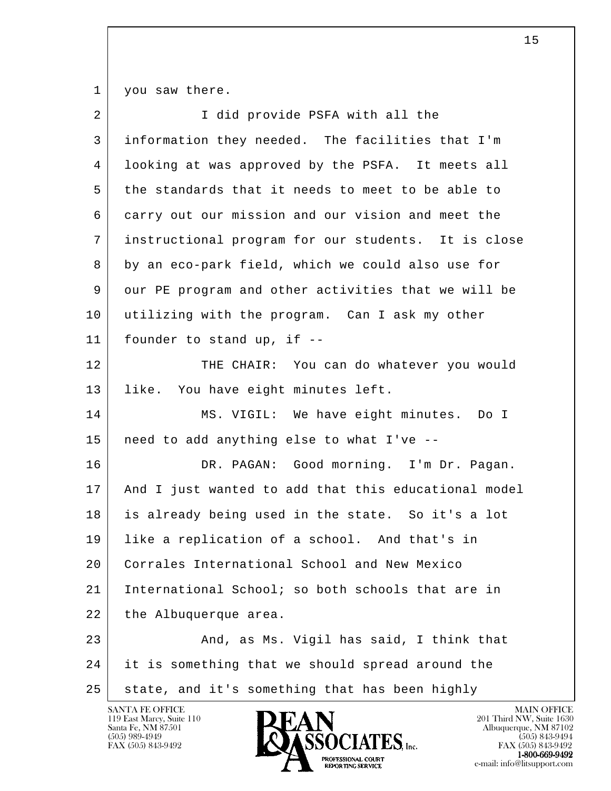1 you saw there.

| $\overline{2}$ | I did provide PSFA with all the                      |
|----------------|------------------------------------------------------|
| 3              | information they needed. The facilities that I'm     |
| 4              | looking at was approved by the PSFA. It meets all    |
| 5              | the standards that it needs to meet to be able to    |
| 6              | carry out our mission and our vision and meet the    |
| 7              | instructional program for our students. It is close  |
| 8              | by an eco-park field, which we could also use for    |
| 9              | our PE program and other activities that we will be  |
| 10             | utilizing with the program. Can I ask my other       |
| 11             | founder to stand up, if --                           |
| 12             | THE CHAIR: You can do whatever you would             |
| 13             | like. You have eight minutes left.                   |
| 14             | MS. VIGIL: We have eight minutes. Do I               |
| 15             | need to add anything else to what I've --            |
| 16             | DR. PAGAN: Good morning. I'm Dr. Pagan.              |
| 17             | And I just wanted to add that this educational model |
| 18             | is already being used in the state. So it's a lot    |
| 19             | like a replication of a school. And that's in        |
| 20             | Corrales International School and New Mexico         |
| 21             | International School; so both schools that are in    |
| 22             | the Albuquerque area.                                |
| 23             | And, as Ms. Vigil has said, I think that             |
| 24             | it is something that we should spread around the     |
| 25             | state, and it's something that has been highly       |

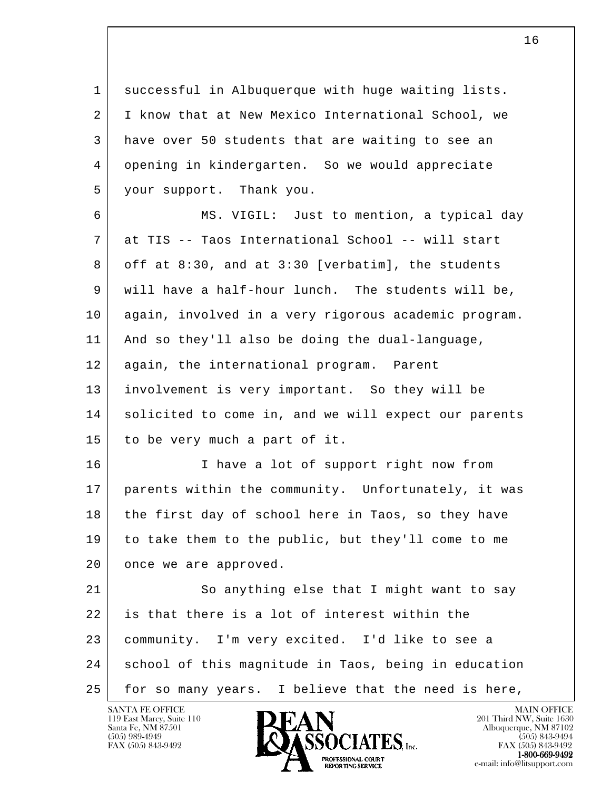1 successful in Albuquerque with huge waiting lists. 2 I know that at New Mexico International School, we 3 have over 50 students that are waiting to see an 4 opening in kindergarten. So we would appreciate 5 your support. Thank you.

 6 MS. VIGIL: Just to mention, a typical day 7 at TIS -- Taos International School -- will start 8 off at 8:30, and at 3:30 [verbatim], the students 9 will have a half-hour lunch. The students will be, 10 again, involved in a very rigorous academic program. 11 And so they'll also be doing the dual-language, 12 | again, the international program. Parent 13 involvement is very important. So they will be 14 solicited to come in, and we will expect our parents 15 to be very much a part of it. 16 I have a lot of support right now from 17 parents within the community. Unfortunately, it was

18 the first day of school here in Taos, so they have 19 to take them to the public, but they'll come to me 20 once we are approved.

l 21 | So anything else that I might want to say 22 is that there is a lot of interest within the 23 community. I'm very excited. I'd like to see a 24 school of this magnitude in Taos, being in education 25 | for so many years. I believe that the need is here,

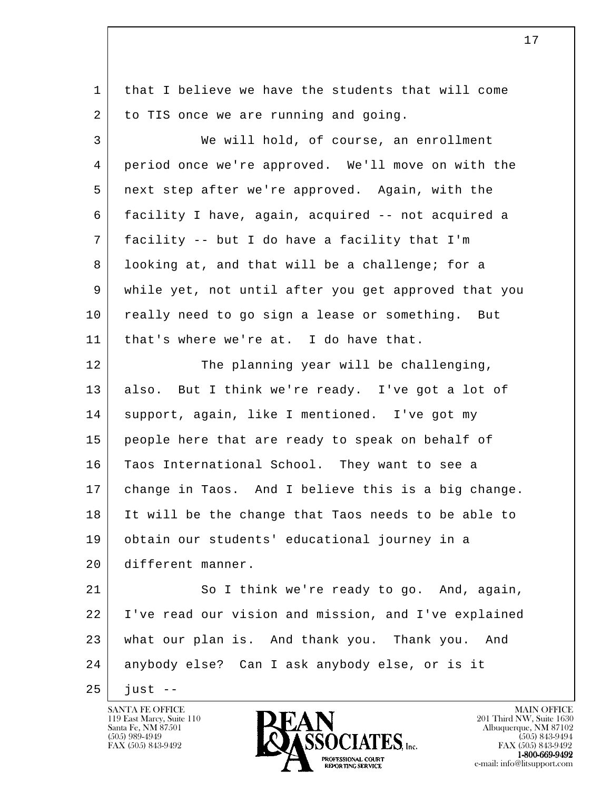| $\mathbf{1}$ | that I believe we have the students that will come   |
|--------------|------------------------------------------------------|
| 2            | to TIS once we are running and going.                |
| 3            | We will hold, of course, an enrollment               |
| 4            | period once we're approved. We'll move on with the   |
| 5            | next step after we're approved. Again, with the      |
| 6            | facility I have, again, acquired -- not acquired a   |
| 7            | facility -- but I do have a facility that I'm        |
| 8            | looking at, and that will be a challenge; for a      |
| 9            | while yet, not until after you get approved that you |
| 10           | really need to go sign a lease or something. But     |
| 11           | that's where we're at. I do have that.               |
| 12           | The planning year will be challenging,               |
| 13           | also. But I think we're ready. I've got a lot of     |
| 14           | support, again, like I mentioned. I've got my        |
| 15           | people here that are ready to speak on behalf of     |
| 16           | Taos International School. They want to see a        |
| 17           | change in Taos. And I believe this is a big change.  |
| 18           | It will be the change that Taos needs to be able to  |
| 19           | obtain our students' educational journey in a        |
| 20           | different manner.                                    |
| 21           | So I think we're ready to go. And, again,            |
| 22           | I've read our vision and mission, and I've explained |
| 23           | what our plan is. And thank you. Thank you. And      |
| 24           | anybody else? Can I ask anybody else, or is it       |
| 25           | just $-$                                             |

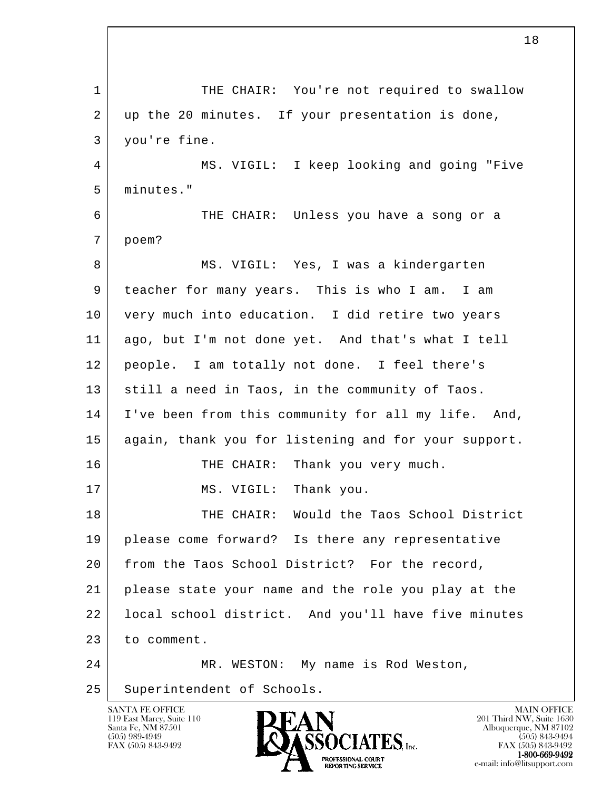l 1 THE CHAIR: You're not required to swallow 2 | up the 20 minutes. If your presentation is done, 3 you're fine. 4 MS. VIGIL: I keep looking and going "Five 5 minutes." 6 THE CHAIR: Unless you have a song or a 7 poem? 8 | MS. VIGIL: Yes, I was a kindergarten 9 teacher for many years. This is who I am. I am 10 very much into education. I did retire two years 11 ago, but I'm not done yet. And that's what I tell 12 people. I am totally not done. I feel there's 13 still a need in Taos, in the community of Taos. 14 I've been from this community for all my life. And, 15 again, thank you for listening and for your support. 16 THE CHAIR: Thank you very much. 17 MS. VIGIL: Thank you. 18 THE CHAIR: Would the Taos School District 19 please come forward? Is there any representative 20 from the Taos School District? For the record, 21 please state your name and the role you play at the 22 | local school district. And you'll have five minutes 23 to comment. 24 MR. WESTON: My name is Rod Weston, 25 Superintendent of Schools.

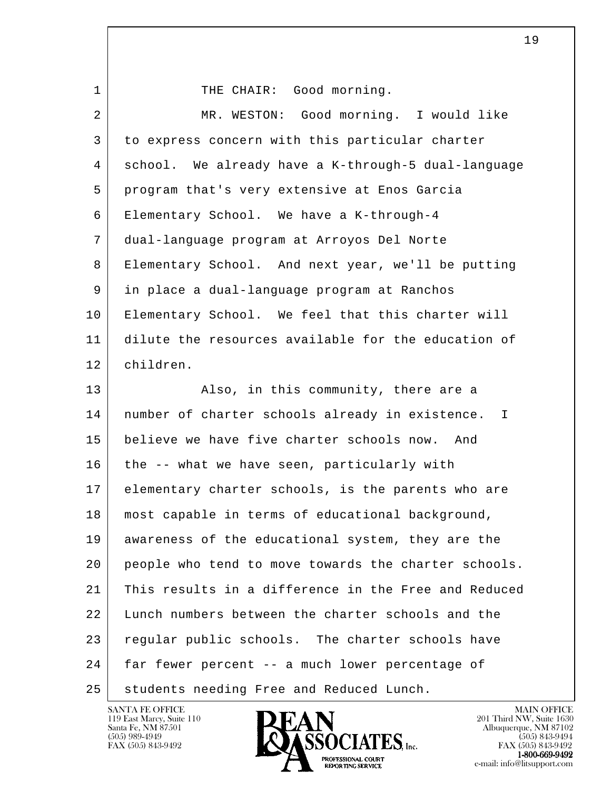l 1 THE CHAIR: Good morning. 2 MR. WESTON: Good morning. I would like 3 to express concern with this particular charter 4 school. We already have a K-through-5 dual-language 5 program that's very extensive at Enos Garcia 6 Elementary School. We have a K-through-4 7 dual-language program at Arroyos Del Norte 8 Elementary School. And next year, we'll be putting 9 in place a dual-language program at Ranchos 10 Elementary School. We feel that this charter will 11 dilute the resources available for the education of 12 children. 13 Also, in this community, there are a 14 | number of charter schools already in existence. I 15 believe we have five charter schools now. And 16 the -- what we have seen, particularly with 17 elementary charter schools, is the parents who are 18 most capable in terms of educational background, 19 awareness of the educational system, they are the 20 people who tend to move towards the charter schools. 21 This results in a difference in the Free and Reduced 22 Lunch numbers between the charter schools and the 23 regular public schools. The charter schools have 24 | far fewer percent -- a much lower percentage of 25 | students needing Free and Reduced Lunch.

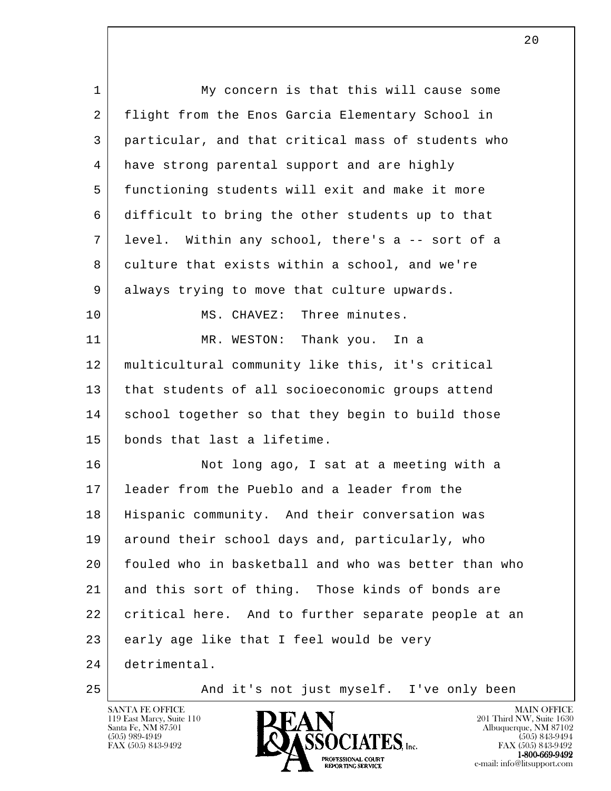l 1 My concern is that this will cause some 2 | flight from the Enos Garcia Elementary School in 3 particular, and that critical mass of students who 4 have strong parental support and are highly 5 functioning students will exit and make it more 6 difficult to bring the other students up to that 7 level. Within any school, there's a -- sort of a 8 culture that exists within a school, and we're 9 always trying to move that culture upwards. 10 MS. CHAVEZ: Three minutes. 11 MR. WESTON: Thank you. In a 12 multicultural community like this, it's critical 13 that students of all socioeconomic groups attend 14 school together so that they begin to build those 15 bonds that last a lifetime. 16 Not long ago, I sat at a meeting with a 17 leader from the Pueblo and a leader from the 18 Hispanic community. And their conversation was 19 around their school days and, particularly, who 20 fouled who in basketball and who was better than who 21 and this sort of thing. Those kinds of bonds are 22 | critical here. And to further separate people at an 23 early age like that I feel would be very 24 detrimental. 25 | And it's not just myself. I've only been

119 East Marcy, Suite 110<br>Santa Fe, NM 87501



FAX (505) 843-9492 FAX (505) 843-9492

 $2.0$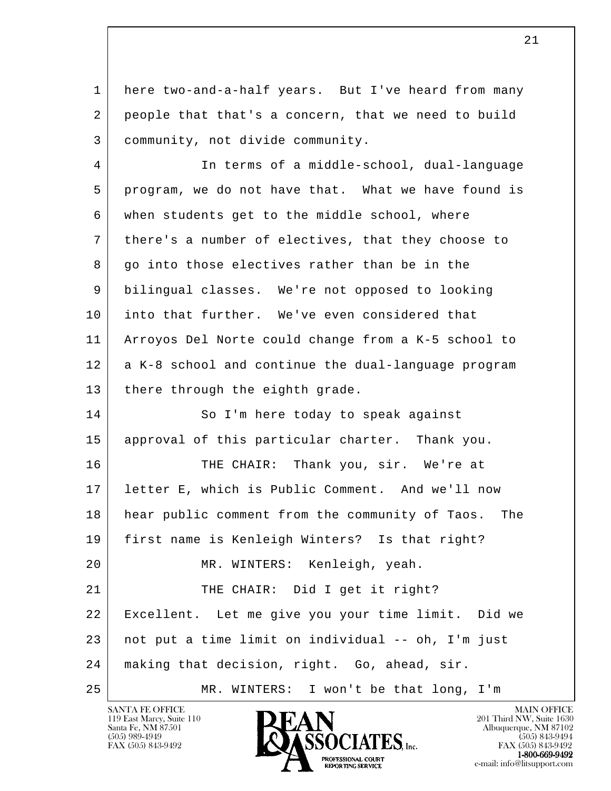1 here two-and-a-half years. But I've heard from many 2 people that that's a concern, that we need to build 3 community, not divide community.

 4 In terms of a middle-school, dual-language 5 program, we do not have that. What we have found is 6 when students get to the middle school, where 7 there's a number of electives, that they choose to 8 | go into those electives rather than be in the 9 bilingual classes. We're not opposed to looking 10 into that further. We've even considered that 11 Arroyos Del Norte could change from a K-5 school to 12 a K-8 school and continue the dual-language program 13 there through the eighth grade. 14 So I'm here today to speak against 15 approval of this particular charter. Thank you. 16 THE CHAIR: Thank you, sir. We're at 17 letter E, which is Public Comment. And we'll now 18 hear public comment from the community of Taos. The 19 first name is Kenleigh Winters? Is that right? 20 MR. WINTERS: Kenleigh, yeah.

l 21 THE CHAIR: Did I get it right? 22 Excellent. Let me give you your time limit. Did we 23 not put a time limit on individual -- oh, I'm just 24 making that decision, right. Go, ahead, sir. 25 MR. WINTERS: I won't be that long, I'm

119 East Marcy, Suite 110<br>Santa Fe, NM 87501

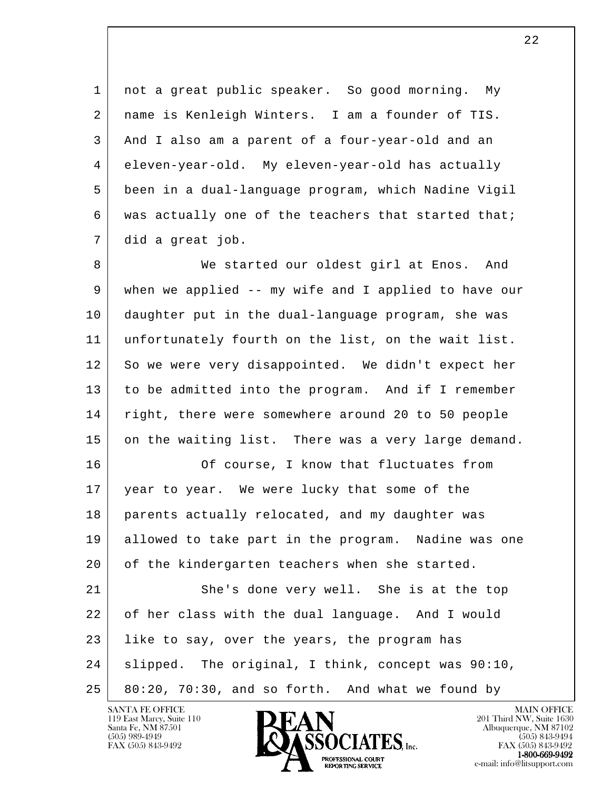1 not a great public speaker. So good morning. My 2 | name is Kenleigh Winters. I am a founder of TIS. 3 And I also am a parent of a four-year-old and an 4 eleven-year-old. My eleven-year-old has actually 5 been in a dual-language program, which Nadine Vigil 6 was actually one of the teachers that started that; 7 did a great job.

8 We started our oldest girl at Enos. And 9 when we applied -- my wife and I applied to have our 10 daughter put in the dual-language program, she was 11 unfortunately fourth on the list, on the wait list. 12 So we were very disappointed. We didn't expect her 13 to be admitted into the program. And if I remember 14 right, there were somewhere around 20 to 50 people 15 on the waiting list. There was a very large demand.

16 Of course, I know that fluctuates from 17 year to year. We were lucky that some of the 18 parents actually relocated, and my daughter was 19 allowed to take part in the program. Nadine was one 20 of the kindergarten teachers when she started. 21 She's done very well. She is at the top

l 22 of her class with the dual language. And I would 23 Iike to say, over the years, the program has 24 slipped. The original, I think, concept was 90:10,  $25$  80:20, 70:30, and so forth. And what we found by

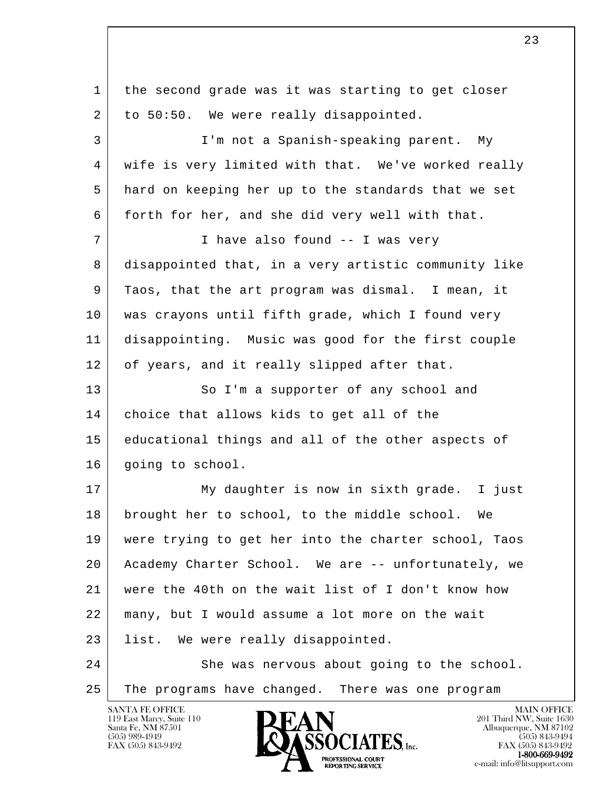l 1 the second grade was it was starting to get closer 2 to 50:50. We were really disappointed. 3 I'm not a Spanish-speaking parent. My 4 wife is very limited with that. We've worked really 5 hard on keeping her up to the standards that we set 6 forth for her, and she did very well with that. 7 I have also found -- I was very 8 disappointed that, in a very artistic community like 9 Taos, that the art program was dismal. I mean, it 10 was crayons until fifth grade, which I found very 11 disappointing. Music was good for the first couple 12 of years, and it really slipped after that. 13 So I'm a supporter of any school and 14 choice that allows kids to get all of the 15 educational things and all of the other aspects of 16 | going to school. 17 My daughter is now in sixth grade. I just 18 brought her to school, to the middle school. We 19 were trying to get her into the charter school, Taos 20 Academy Charter School. We are -- unfortunately, we 21 were the 40th on the wait list of I don't know how 22 many, but I would assume a lot more on the wait 23 list. We were really disappointed. 24 She was nervous about going to the school. 25 The programs have changed. There was one program

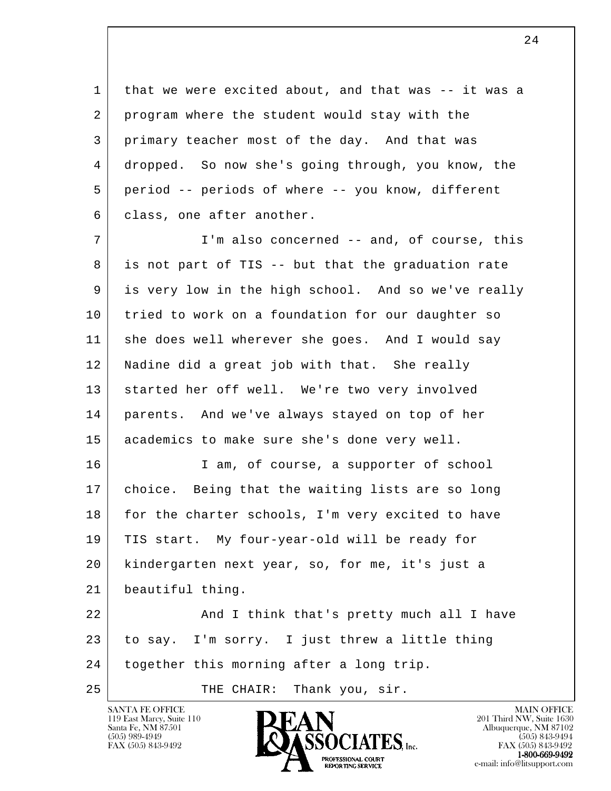1 that we were excited about, and that was -- it was a 2 program where the student would stay with the 3 primary teacher most of the day. And that was 4 dropped. So now she's going through, you know, the 5 period -- periods of where -- you know, different 6 class, one after another.

7 | T'm also concerned -- and, of course, this 8 is not part of TIS -- but that the graduation rate 9 is very low in the high school. And so we've really 10 tried to work on a foundation for our daughter so 11 she does well wherever she goes. And I would say 12 Nadine did a great job with that. She really 13 | started her off well. We're two very involved 14 parents. And we've always stayed on top of her 15 academics to make sure she's done very well.

16 | Tam, of course, a supporter of school 17 choice. Being that the waiting lists are so long 18 for the charter schools, I'm very excited to have 19 TIS start. My four-year-old will be ready for 20 kindergarten next year, so, for me, it's just a 21 beautiful thing.

l 22 | And I think that's pretty much all I have 23 to say. I'm sorry. I just threw a little thing 24 together this morning after a long trip.

25 | THE CHAIR: Thank you, sir.



FAX (505) 843-9492 FAX (505) 843-9492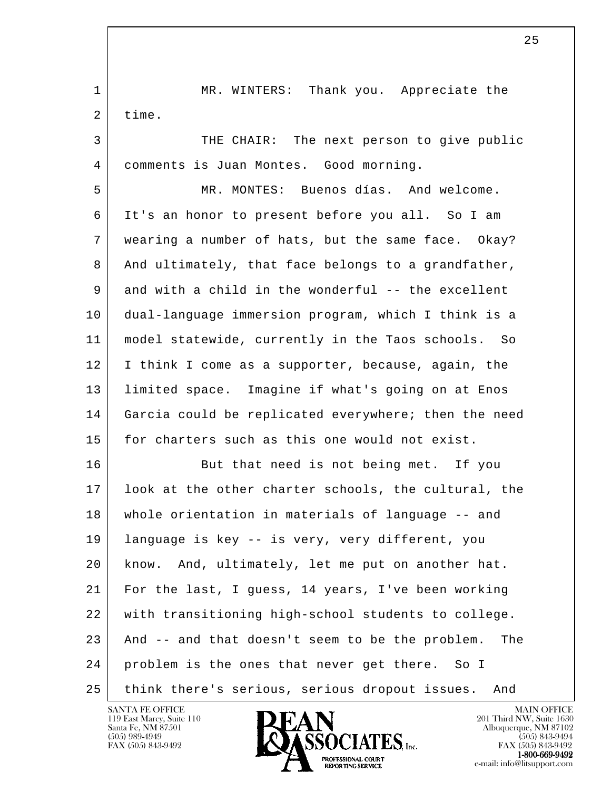l 1 MR. WINTERS: Thank you. Appreciate the 2 time. 3 THE CHAIR: The next person to give public 4 comments is Juan Montes. Good morning. 5 MR. MONTES: Buenos días. And welcome. 6 It's an honor to present before you all. So I am 7 wearing a number of hats, but the same face. Okay? 8 And ultimately, that face belongs to a grandfather, 9 and with a child in the wonderful -- the excellent 10 dual-language immersion program, which I think is a 11 model statewide, currently in the Taos schools. So 12 I think I come as a supporter, because, again, the 13 limited space. Imagine if what's going on at Enos 14 Garcia could be replicated everywhere; then the need 15 for charters such as this one would not exist. 16 But that need is not being met. If you 17 | look at the other charter schools, the cultural, the 18 whole orientation in materials of language -- and 19 language is key -- is very, very different, you 20 know. And, ultimately, let me put on another hat. 21 For the last, I guess, 14 years, I've been working 22 with transitioning high-school students to college. 23 And -- and that doesn't seem to be the problem. The 24 problem is the ones that never get there. So I 25 think there's serious, serious dropout issues. And

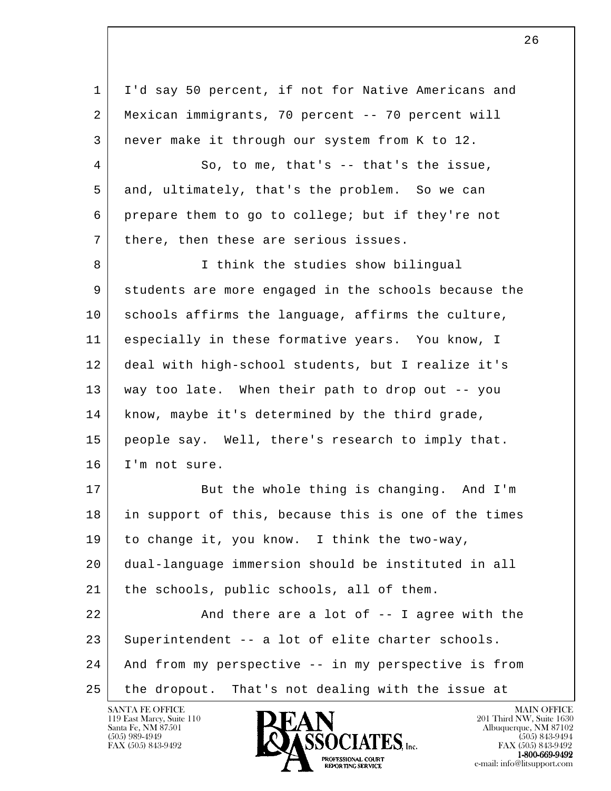l 1 I'd say 50 percent, if not for Native Americans and 2 Mexican immigrants, 70 percent -- 70 percent will 3 never make it through our system from K to 12. 4 So, to me, that's -- that's the issue, 5 and, ultimately, that's the problem. So we can 6 prepare them to go to college; but if they're not 7 | there, then these are serious issues. 8 I think the studies show bilingual 9 students are more engaged in the schools because the 10 schools affirms the language, affirms the culture, 11 especially in these formative years. You know, I 12 deal with high-school students, but I realize it's 13 way too late. When their path to drop out -- you 14 | know, maybe it's determined by the third grade, 15 people say. Well, there's research to imply that. 16 I'm not sure. 17 But the whole thing is changing. And I'm 18 in support of this, because this is one of the times 19 to change it, you know. I think the two-way, 20 dual-language immersion should be instituted in all 21 | the schools, public schools, all of them. 22 | And there are a lot of -- I agree with the 23 Superintendent -- a lot of elite charter schools. 24 And from my perspective -- in my perspective is from 25 the dropout. That's not dealing with the issue at

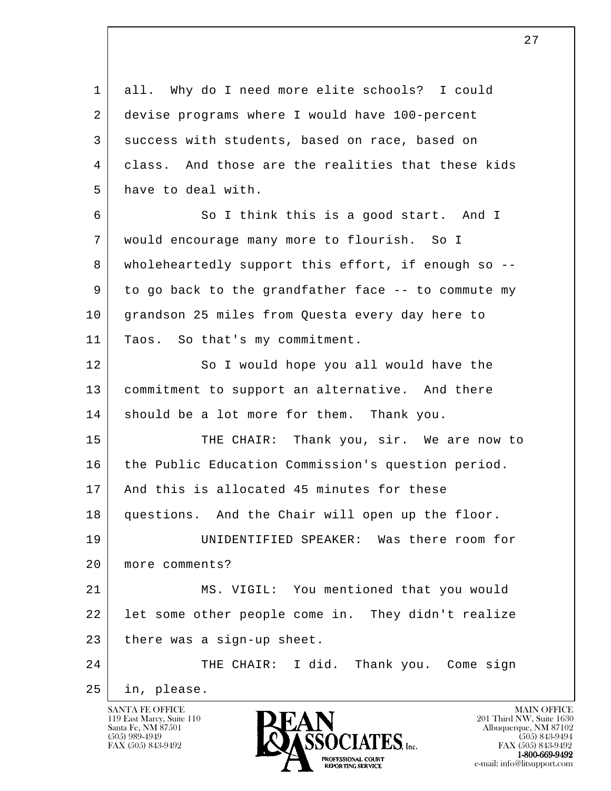l 1 all. Why do I need more elite schools? I could 2 devise programs where I would have 100-percent 3 success with students, based on race, based on 4 class. And those are the realities that these kids 5 have to deal with. 6 So I think this is a good start. And I 7 would encourage many more to flourish. So I 8 wholeheartedly support this effort, if enough so -- 9 to go back to the grandfather face -- to commute my 10 grandson 25 miles from Questa every day here to 11 | Taos. So that's my commitment. 12 So I would hope you all would have the 13 commitment to support an alternative. And there 14 should be a lot more for them. Thank you. 15 THE CHAIR: Thank you, sir. We are now to 16 the Public Education Commission's question period. 17 And this is allocated 45 minutes for these 18 questions. And the Chair will open up the floor. 19 UNIDENTIFIED SPEAKER: Was there room for 20 more comments? 21 MS. VIGIL: You mentioned that you would 22 | let some other people come in. They didn't realize  $23$  there was a sign-up sheet. 24 THE CHAIR: I did. Thank you. Come sign 25 in, please.

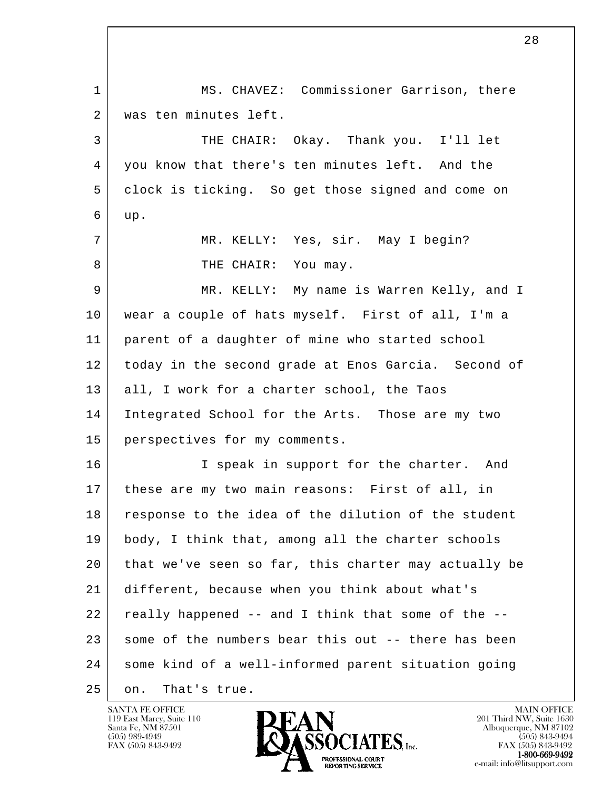l 1 MS. CHAVEZ: Commissioner Garrison, there 2 | was ten minutes left. 3 THE CHAIR: Okay. Thank you. I'll let 4 you know that there's ten minutes left. And the 5 clock is ticking. So get those signed and come on  $6 \mid$  up. 7 MR. KELLY: Yes, sir. May I begin? 8 THE CHAIR: You may. 9 MR. KELLY: My name is Warren Kelly, and I 10 wear a couple of hats myself. First of all, I'm a 11 parent of a daughter of mine who started school 12 today in the second grade at Enos Garcia. Second of 13 all, I work for a charter school, the Taos 14 Integrated School for the Arts. Those are my two 15 perspectives for my comments. 16 I speak in support for the charter. And 17 these are my two main reasons: First of all, in 18 response to the idea of the dilution of the student 19 body, I think that, among all the charter schools 20 that we've seen so far, this charter may actually be 21 different, because when you think about what's 22 really happened -- and I think that some of the -- 23 some of the numbers bear this out -- there has been 24 some kind of a well-informed parent situation going 25 on. That's true.

28

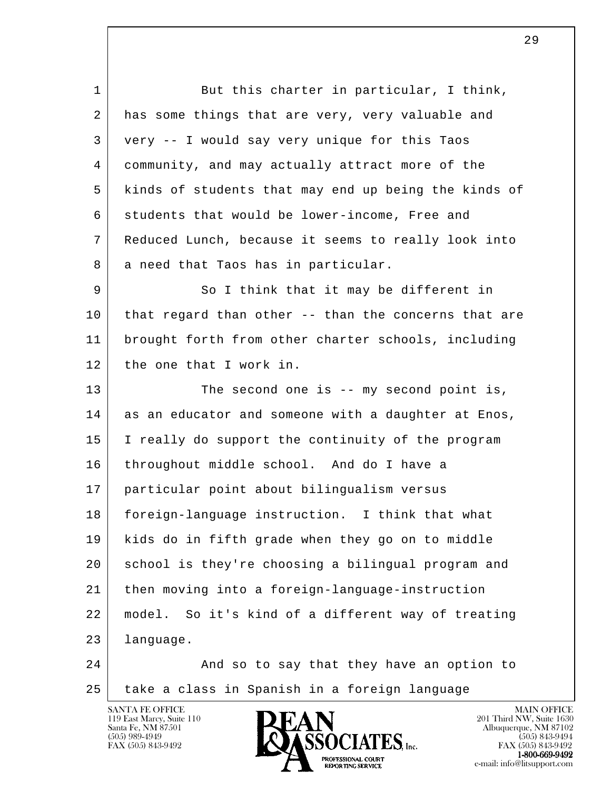l 1 But this charter in particular, I think, 2 has some things that are very, very valuable and 3 very -- I would say very unique for this Taos 4 community, and may actually attract more of the 5 kinds of students that may end up being the kinds of 6 students that would be lower-income, Free and 7 Reduced Lunch, because it seems to really look into 8 a need that Taos has in particular. 9 | So I think that it may be different in 10 that regard than other -- than the concerns that are 11 brought forth from other charter schools, including 12 the one that I work in. 13 The second one is -- my second point is, 14 as an educator and someone with a daughter at Enos, 15 I really do support the continuity of the program 16 throughout middle school. And do I have a 17 particular point about bilingualism versus 18 foreign-language instruction. I think that what 19 kids do in fifth grade when they go on to middle 20 school is they're choosing a bilingual program and 21 then moving into a foreign-language-instruction 22 model. So it's kind of a different way of treating 23 language. 24 And so to say that they have an option to 25 take a class in Spanish in a foreign language

119 East Marcy, Suite 110<br>Santa Fe, NM 87501



FAX (505) 843-9492 FAX (505) 843-9492 PROFESSIONAL COURT  $1-800-669-9492$ **EXPORTING SERVICE**<br>REPORTING SERVICE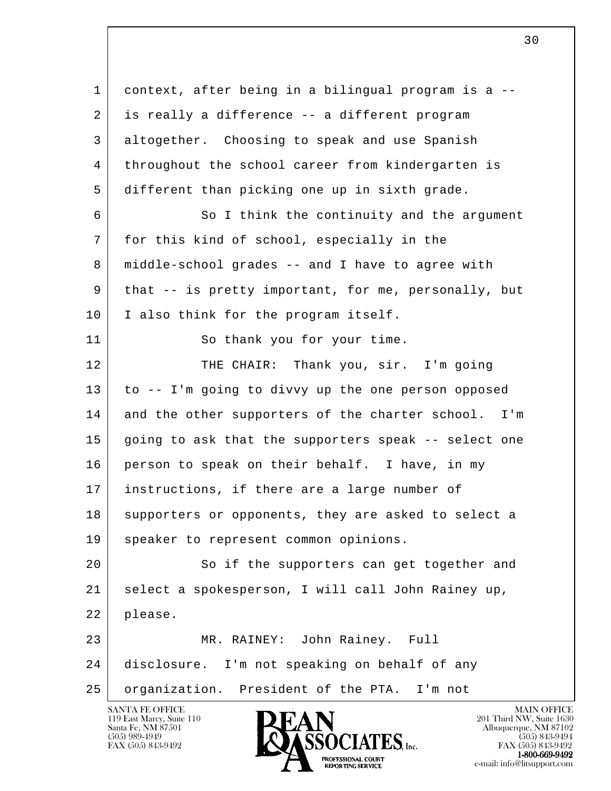l 1 context, after being in a bilingual program is a -- 2 is really a difference -- a different program 3 altogether. Choosing to speak and use Spanish 4 throughout the school career from kindergarten is 5 different than picking one up in sixth grade. 6 So I think the continuity and the argument 7 for this kind of school, especially in the 8 middle-school grades -- and I have to agree with 9 that -- is pretty important, for me, personally, but 10 | I also think for the program itself. 11 So thank you for your time. 12 | THE CHAIR: Thank you, sir. I'm going 13 to -- I'm going to divvy up the one person opposed 14 and the other supporters of the charter school. I'm 15 going to ask that the supporters speak -- select one 16 person to speak on their behalf. I have, in my 17 instructions, if there are a large number of 18 supporters or opponents, they are asked to select a 19 | speaker to represent common opinions. 20 So if the supporters can get together and 21 select a spokesperson, I will call John Rainey up, 22 please. 23 MR. RAINEY: John Rainey. Full 24 disclosure. I'm not speaking on behalf of any 25 organization. President of the PTA. I'm not

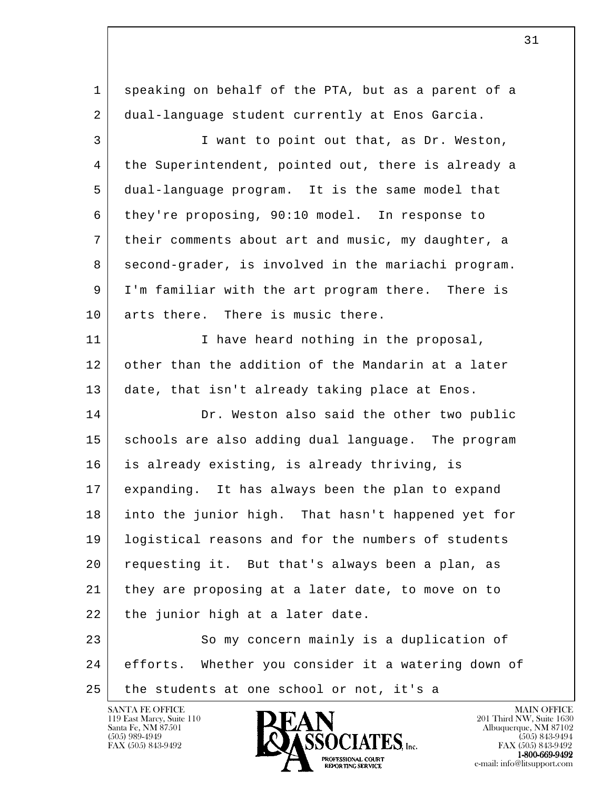l 1 speaking on behalf of the PTA, but as a parent of a 2 dual-language student currently at Enos Garcia. 3 I want to point out that, as Dr. Weston, 4 the Superintendent, pointed out, there is already a 5 dual-language program. It is the same model that 6 they're proposing, 90:10 model. In response to 7 their comments about art and music, my daughter, a 8 second-grader, is involved in the mariachi program. 9 I'm familiar with the art program there. There is 10 arts there. There is music there. 11 I have heard nothing in the proposal, 12 other than the addition of the Mandarin at a later 13 date, that isn't already taking place at Enos. 14 Dr. Weston also said the other two public 15 schools are also adding dual language. The program 16 is already existing, is already thriving, is 17 expanding. It has always been the plan to expand 18 into the junior high. That hasn't happened yet for 19 logistical reasons and for the numbers of students 20 requesting it. But that's always been a plan, as 21 they are proposing at a later date, to move on to 22 | the junior high at a later date. 23 So my concern mainly is a duplication of 24 efforts. Whether you consider it a watering down of 25 the students at one school or not, it's a

119 East Marcy, Suite 110<br>Santa Fe, NM 87501

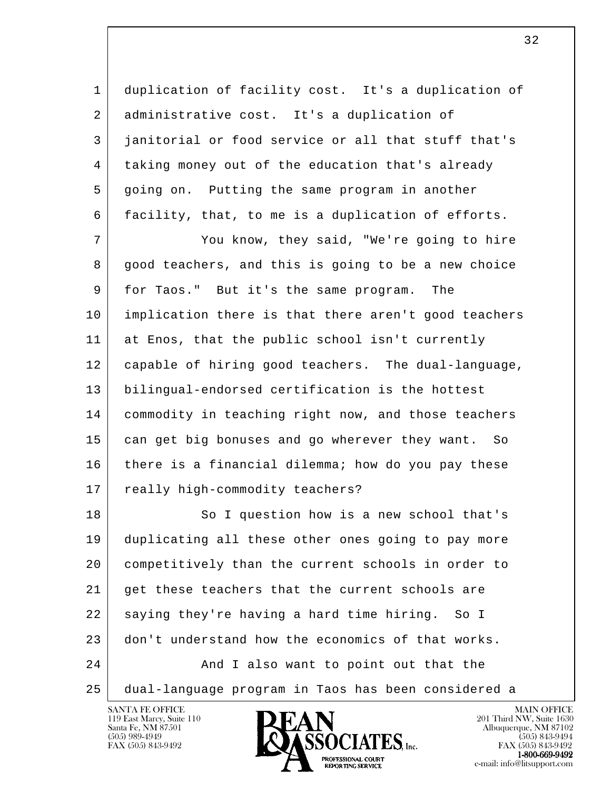1 duplication of facility cost. It's a duplication of 2 administrative cost. It's a duplication of 3 | janitorial or food service or all that stuff that's 4 taking money out of the education that's already 5 going on. Putting the same program in another 6 facility, that, to me is a duplication of efforts.

 7 You know, they said, "We're going to hire 8 good teachers, and this is going to be a new choice 9 for Taos." But it's the same program. The 10 implication there is that there aren't good teachers 11 at Enos, that the public school isn't currently 12 capable of hiring good teachers. The dual-language, 13 bilingual-endorsed certification is the hottest 14 commodity in teaching right now, and those teachers 15 can get big bonuses and go wherever they want. So 16 there is a financial dilemma; how do you pay these 17 really high-commodity teachers?

l 18 So I question how is a new school that's 19 duplicating all these other ones going to pay more 20 competitively than the current schools in order to 21 get these teachers that the current schools are 22 saying they're having a hard time hiring. So I 23 don't understand how the economics of that works. 24 And I also want to point out that the 25 dual-language program in Taos has been considered a

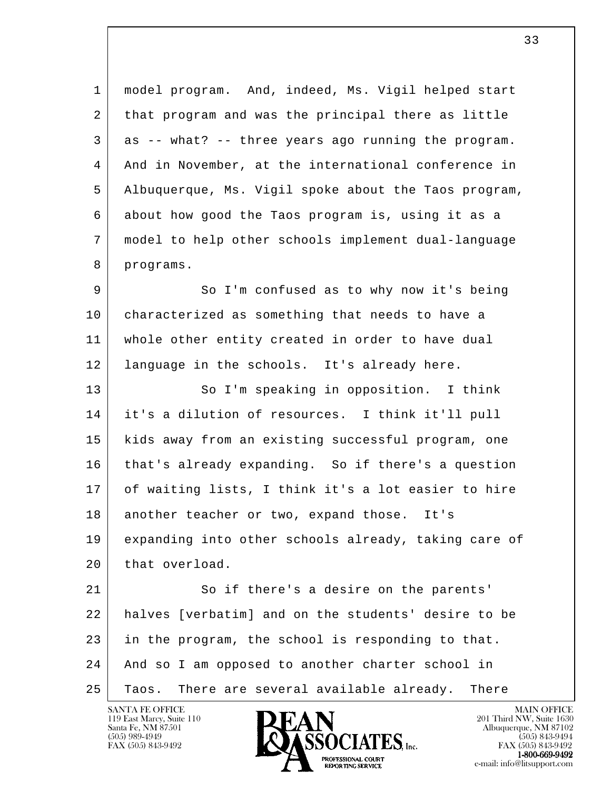1 model program. And, indeed, Ms. Vigil helped start 2 that program and was the principal there as little 3 as -- what? -- three years ago running the program. 4 And in November, at the international conference in 5 Albuquerque, Ms. Vigil spoke about the Taos program, 6 about how good the Taos program is, using it as a 7 model to help other schools implement dual-language 8 programs.

 9 So I'm confused as to why now it's being 10 characterized as something that needs to have a 11 whole other entity created in order to have dual 12 language in the schools. It's already here.

13 So I'm speaking in opposition. I think 14 it's a dilution of resources. I think it'll pull 15 kids away from an existing successful program, one 16 | that's already expanding. So if there's a question 17 of waiting lists, I think it's a lot easier to hire 18 another teacher or two, expand those. It's 19 expanding into other schools already, taking care of 20 that overload.

l 21 So if there's a desire on the parents' 22 halves [verbatim] and on the students' desire to be 23 in the program, the school is responding to that. 24 And so I am opposed to another charter school in 25 Taos. There are several available already. There

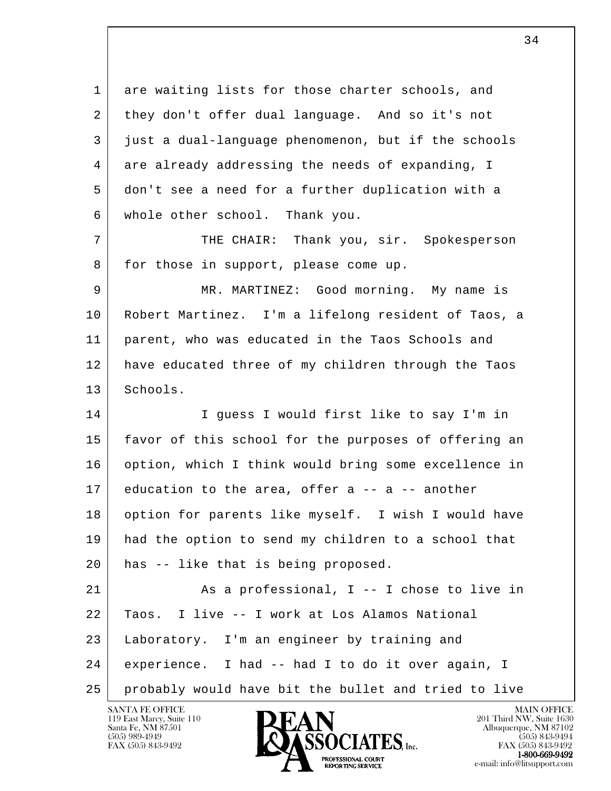l 1 are waiting lists for those charter schools, and 2 they don't offer dual language. And so it's not 3 just a dual-language phenomenon, but if the schools 4 are already addressing the needs of expanding, I 5 don't see a need for a further duplication with a 6 whole other school. Thank you. 7 THE CHAIR: Thank you, sir. Spokesperson 8 for those in support, please come up. 9 MR. MARTINEZ: Good morning. My name is 10 Robert Martinez. I'm a lifelong resident of Taos, a 11 parent, who was educated in the Taos Schools and 12 have educated three of my children through the Taos 13 Schools. 14 I guess I would first like to say I'm in 15 favor of this school for the purposes of offering an 16 option, which I think would bring some excellence in 17 education to the area, offer a -- a -- another 18 option for parents like myself. I wish I would have 19 had the option to send my children to a school that 20 has -- like that is being proposed. 21 As a professional, I -- I chose to live in 22 Taos. I live -- I work at Los Alamos National 23 Laboratory. I'm an engineer by training and 24 experience. I had -- had I to do it over again, I 25 probably would have bit the bullet and tried to live

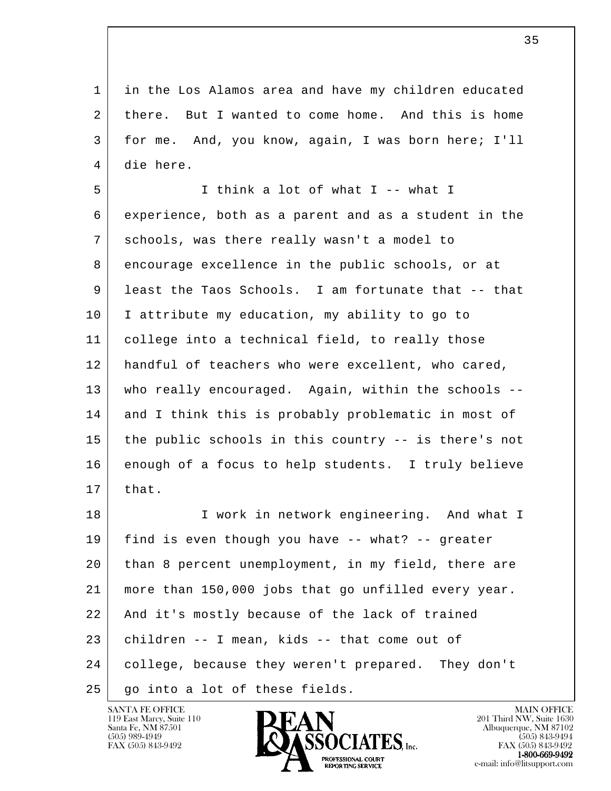1 in the Los Alamos area and have my children educated 2 there. But I wanted to come home. And this is home 3 for me. And, you know, again, I was born here; I'll 4 die here.

 5 I think a lot of what I -- what I 6 experience, both as a parent and as a student in the 7 schools, was there really wasn't a model to 8 encourage excellence in the public schools, or at 9 least the Taos Schools. I am fortunate that -- that 10 I attribute my education, my ability to go to 11 college into a technical field, to really those 12 handful of teachers who were excellent, who cared, 13 who really encouraged. Again, within the schools -- 14 and I think this is probably problematic in most of 15 the public schools in this country -- is there's not 16 enough of a focus to help students. I truly believe  $17$  that. 18 I work in network engineering. And what I

l 19 find is even though you have -- what? -- greater 20 than 8 percent unemployment, in my field, there are 21 more than 150,000 jobs that go unfilled every year. 22 | And it's mostly because of the lack of trained 23 children -- I mean, kids -- that come out of 24 college, because they weren't prepared. They don't 25 | go into a lot of these fields.

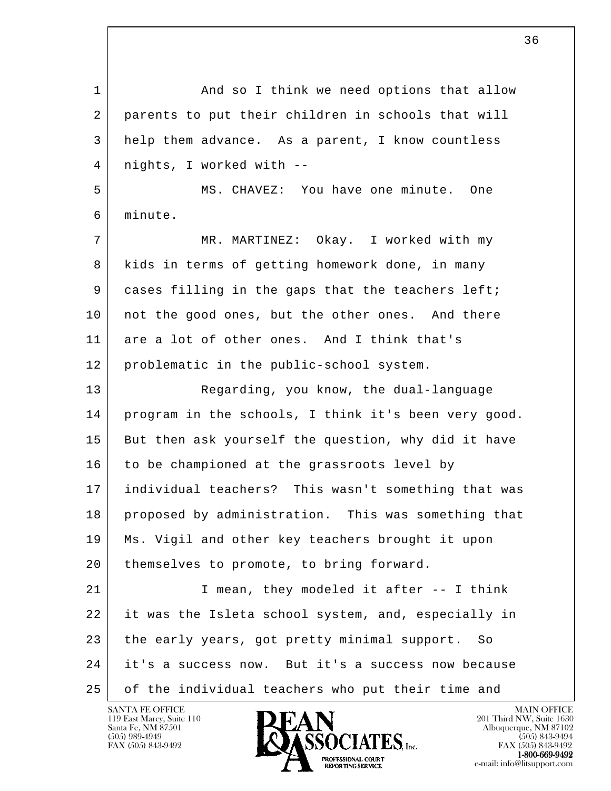l 1 and so I think we need options that allow 2 parents to put their children in schools that will 3 help them advance. As a parent, I know countless 4 nights, I worked with -- 5 MS. CHAVEZ: You have one minute. One 6 minute. 7 | MR. MARTINEZ: Okay. I worked with my 8 kids in terms of getting homework done, in many 9 cases filling in the gaps that the teachers left; 10 | not the good ones, but the other ones. And there 11 are a lot of other ones. And I think that's 12 problematic in the public-school system. 13 Regarding, you know, the dual-language 14 program in the schools, I think it's been very good. 15 But then ask yourself the question, why did it have 16 to be championed at the grassroots level by 17 individual teachers? This wasn't something that was 18 proposed by administration. This was something that 19 Ms. Vigil and other key teachers brought it upon 20 | themselves to promote, to bring forward. 21 | T mean, they modeled it after -- I think 22 it was the Isleta school system, and, especially in 23 the early years, got pretty minimal support. So 24 it's a success now. But it's a success now because 25 of the individual teachers who put their time and

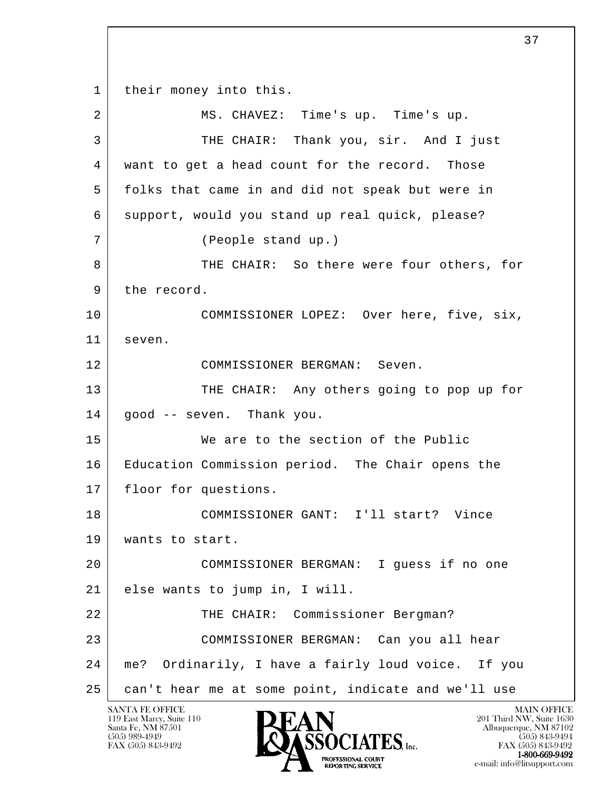l 1 | their money into this. 2 | MS. CHAVEZ: Time's up. Time's up. 3 THE CHAIR: Thank you, sir. And I just 4 want to get a head count for the record. Those 5 folks that came in and did not speak but were in 6 support, would you stand up real quick, please? 7 (People stand up.) 8 THE CHAIR: So there were four others, for 9 the record. 10 COMMISSIONER LOPEZ: Over here, five, six, 11 seven. 12 COMMISSIONER BERGMAN: Seven. 13 THE CHAIR: Any others going to pop up for 14 good -- seven. Thank you. 15 We are to the section of the Public 16 Education Commission period. The Chair opens the 17 | floor for questions. 18 COMMISSIONER GANT: I'll start? Vince 19 | wants to start. 20 COMMISSIONER BERGMAN: I guess if no one 21 else wants to jump in, I will. 22 | THE CHAIR: Commissioner Bergman? 23 COMMISSIONER BERGMAN: Can you all hear 24 me? Ordinarily, I have a fairly loud voice. If you 25 can't hear me at some point, indicate and we'll use

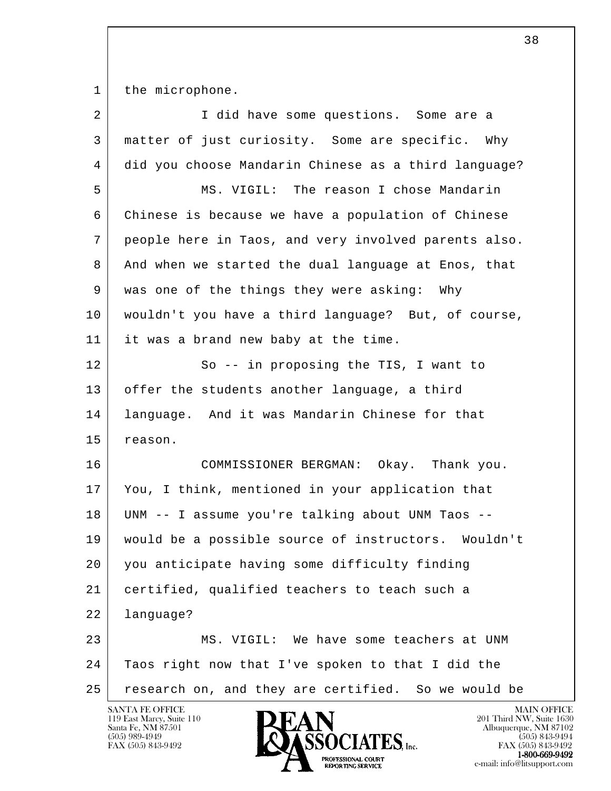1 the microphone.

| $\overline{2}$ | I did have some questions. Some are a                |
|----------------|------------------------------------------------------|
| 3              | matter of just curiosity. Some are specific. Why     |
| 4              | did you choose Mandarin Chinese as a third language? |
| 5              | MS. VIGIL: The reason I chose Mandarin               |
| 6              | Chinese is because we have a population of Chinese   |
| 7              | people here in Taos, and very involved parents also. |
| 8              | And when we started the dual language at Enos, that  |
| 9              | was one of the things they were asking: Why          |
| 10             | wouldn't you have a third language? But, of course,  |
| 11             | it was a brand new baby at the time.                 |
| 12             | So -- in proposing the TIS, I want to                |
| 13             | offer the students another language, a third         |
| 14             | language. And it was Mandarin Chinese for that       |
| 15             | reason.                                              |
| 16             | COMMISSIONER BERGMAN: Okay. Thank you.               |
| 17             | You, I think, mentioned in your application that     |
| 18             | UNM -- I assume you're talking about UNM Taos --     |
| 19             | would be a possible source of instructors. Wouldn't  |
| 20             | you anticipate having some difficulty finding        |
| 21             | certified, qualified teachers to teach such a        |
| 22             | language?                                            |
| 23             | MS. VIGIL: We have some teachers at UNM              |
| 24             | Taos right now that I've spoken to that I did the    |
| 25             | research on, and they are certified. So we would be  |
|                | <b>SANTA FE OFFICE</b><br>MAIN OFFICE                |

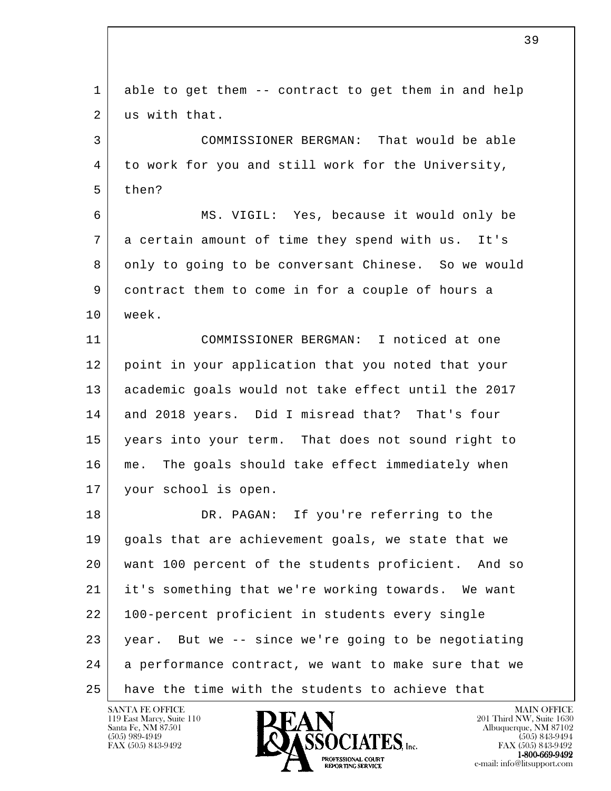l 1 able to get them -- contract to get them in and help 2 us with that. 3 COMMISSIONER BERGMAN: That would be able 4 to work for you and still work for the University, 5 then? 6 MS. VIGIL: Yes, because it would only be 7 a certain amount of time they spend with us. It's 8 only to going to be conversant Chinese. So we would 9 contract them to come in for a couple of hours a 10 week. 11 COMMISSIONER BERGMAN: I noticed at one 12 point in your application that you noted that your 13 academic goals would not take effect until the 2017 14 and 2018 years. Did I misread that? That's four 15 years into your term. That does not sound right to 16 me. The goals should take effect immediately when 17 | your school is open. 18 DR. PAGAN: If you're referring to the 19 | goals that are achievement goals, we state that we 20 want 100 percent of the students proficient. And so 21 it's something that we're working towards. We want 22 100-percent proficient in students every single 23 year. But we -- since we're going to be negotiating 24 a performance contract, we want to make sure that we 25 have the time with the students to achieve that

119 East Marcy, Suite 110<br>Santa Fe, NM 87501

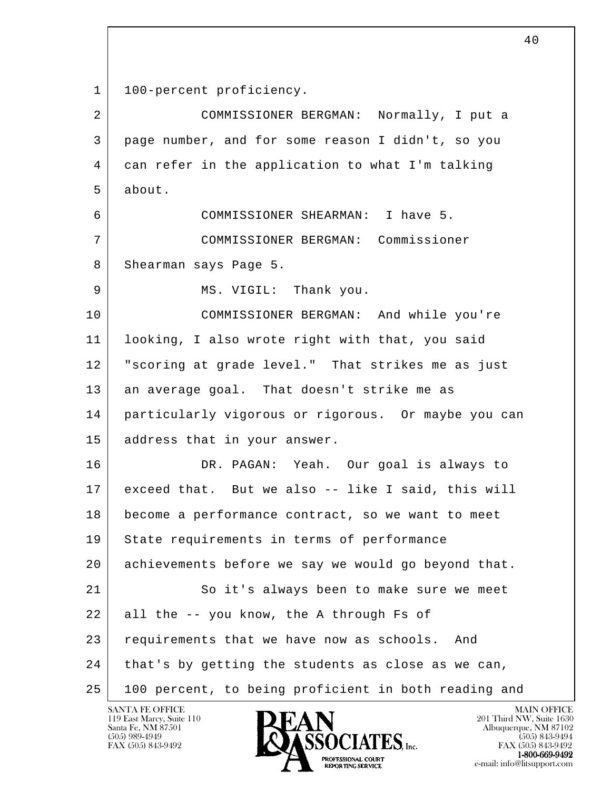```
1 | 100-percent proficiency.
```

| $\overline{a}$ | COMMISSIONER BERGMAN: Normally, I put a              |
|----------------|------------------------------------------------------|
| 3              | page number, and for some reason I didn't, so you    |
| 4              | can refer in the application to what I'm talking     |
| 5              | about.                                               |
| 6              | COMMISSIONER SHEARMAN: I have 5.                     |
| 7              | COMMISSIONER BERGMAN: Commissioner                   |
| 8              | Shearman says Page 5.                                |
| 9              | MS. VIGIL: Thank you.                                |
| 10             | COMMISSIONER BERGMAN: And while you're               |
| 11             | looking, I also wrote right with that, you said      |
| 12             | "scoring at grade level." That strikes me as just    |
| 13             | an average goal. That doesn't strike me as           |
| 14             | particularly vigorous or rigorous. Or maybe you can  |
| 15             | address that in your answer.                         |
| 16             | DR. PAGAN: Yeah. Our goal is always to               |
| 17             | exceed that. But we also -- like I said, this will   |
| 18             | become a performance contract, so we want to meet    |
| 19             | State requirements in terms of performance           |
| 20             | achievements before we say we would go beyond that.  |
| 21             | So it's always been to make sure we meet             |
| 22             | all the -- you know, the A through Fs of             |
| 23             | requirements that we have now as schools. And        |
| 24             | that's by getting the students as close as we can,   |
| 25             | 100 percent, to being proficient in both reading and |

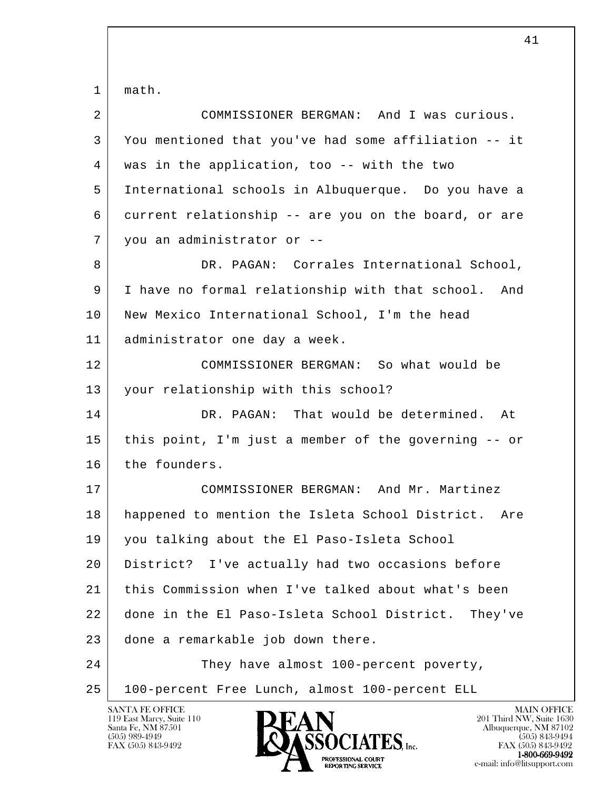l SANTA FE OFFICE MAIN OFFICE MAIN OFFICE MAIN OFFICE MAIN OFFICE 1 | math. 2 COMMISSIONER BERGMAN: And I was curious. 3 You mentioned that you've had some affiliation -- it 4 was in the application, too -- with the two 5 International schools in Albuquerque. Do you have a 6 current relationship -- are you on the board, or are 7 you an administrator or -- 8 DR. PAGAN: Corrales International School, 9 I have no formal relationship with that school. And 10 New Mexico International School, I'm the head 11 administrator one day a week. 12 COMMISSIONER BERGMAN: So what would be 13 your relationship with this school? 14 DR. PAGAN: That would be determined. At 15 this point, I'm just a member of the governing -- or 16 the founders. 17 COMMISSIONER BERGMAN: And Mr. Martinez 18 happened to mention the Isleta School District. Are 19 you talking about the El Paso-Isleta School 20 District? I've actually had two occasions before 21 this Commission when I've talked about what's been 22 done in the El Paso-Isleta School District. They've 23 done a remarkable job down there. 24 They have almost 100-percent poverty, 25 100-percent Free Lunch, almost 100-percent ELL

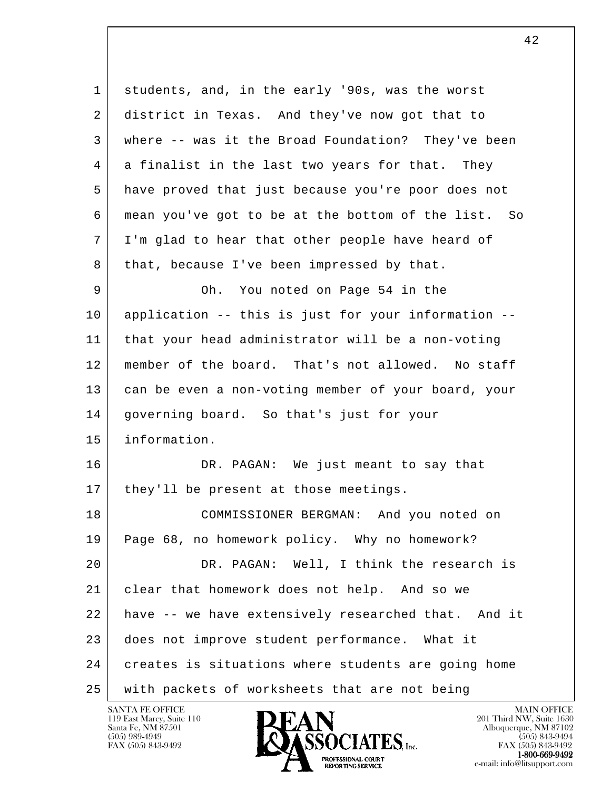l 1 students, and, in the early '90s, was the worst 2 district in Texas. And they've now got that to 3 where -- was it the Broad Foundation? They've been 4 a finalist in the last two years for that. They 5 have proved that just because you're poor does not 6 mean you've got to be at the bottom of the list. So 7 I'm glad to hear that other people have heard of 8 that, because I've been impressed by that. 9 Oh. You noted on Page 54 in the 10 application -- this is just for your information -- 11 that your head administrator will be a non-voting 12 member of the board. That's not allowed. No staff 13 can be even a non-voting member of your board, your 14 | governing board. So that's just for your 15 information. 16 DR. PAGAN: We just meant to say that 17 | they'll be present at those meetings. 18 COMMISSIONER BERGMAN: And you noted on 19 Page 68, no homework policy. Why no homework? 20 DR. PAGAN: Well, I think the research is 21 clear that homework does not help. And so we 22 have -- we have extensively researched that. And it 23 does not improve student performance. What it 24 creates is situations where students are going home 25 with packets of worksheets that are not being

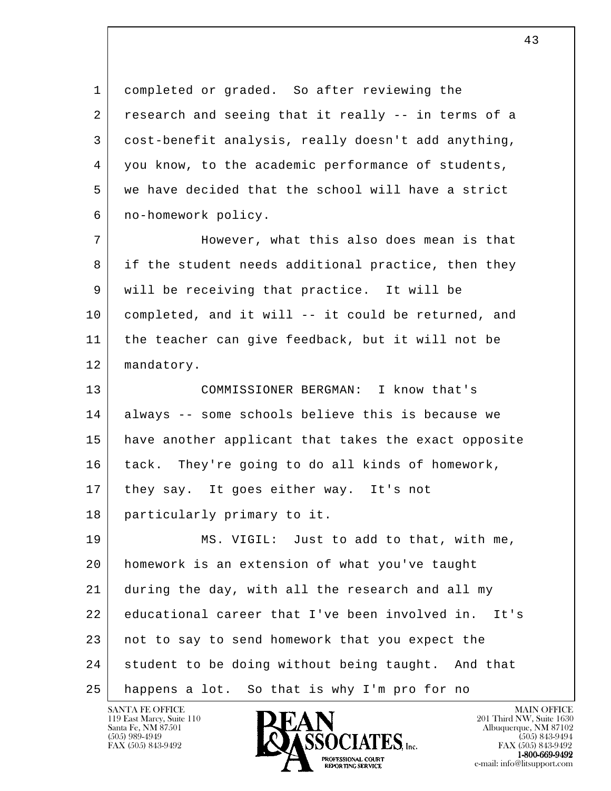1 completed or graded. So after reviewing the 2 research and seeing that it really -- in terms of a 3 cost-benefit analysis, really doesn't add anything, 4 you know, to the academic performance of students, 5 we have decided that the school will have a strict 6 no-homework policy.

7 | However, what this also does mean is that 8 if the student needs additional practice, then they 9 will be receiving that practice. It will be 10 completed, and it will -- it could be returned, and 11 the teacher can give feedback, but it will not be 12 | mandatory.

 13 COMMISSIONER BERGMAN: I know that's 14 always -- some schools believe this is because we 15 have another applicant that takes the exact opposite 16 tack. They're going to do all kinds of homework, 17 they say. It goes either way. It's not 18 particularly primary to it.

l 19 MS. VIGIL: Just to add to that, with me, 20 homework is an extension of what you've taught 21 during the day, with all the research and all my 22 educational career that I've been involved in. It's 23 not to say to send homework that you expect the 24 student to be doing without being taught. And that 25 happens a lot. So that is why I'm pro for no

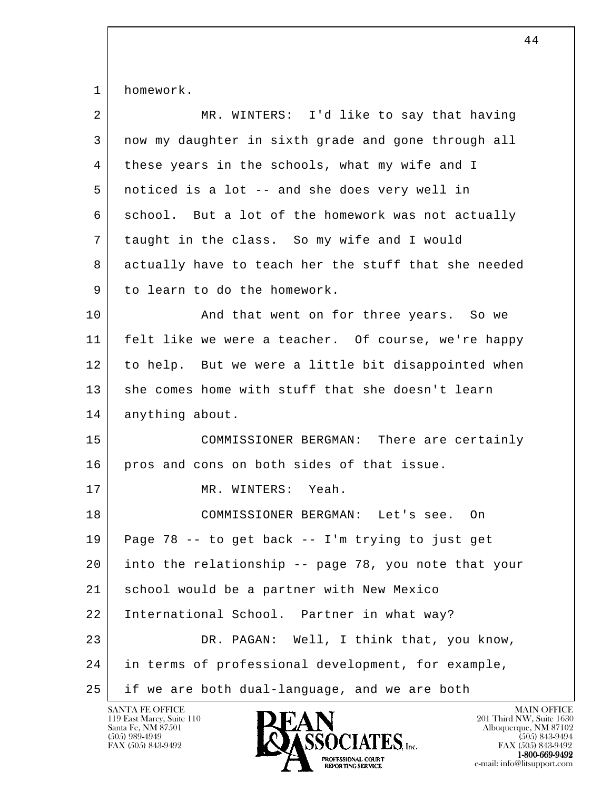1 homework.

| $\overline{2}$ | MR. WINTERS: I'd like to say that having             |
|----------------|------------------------------------------------------|
| 3              | now my daughter in sixth grade and gone through all  |
| 4              | these years in the schools, what my wife and I       |
| 5              | noticed is a lot -- and she does very well in        |
| 6              | school. But a lot of the homework was not actually   |
| 7              | taught in the class. So my wife and I would          |
| 8              | actually have to teach her the stuff that she needed |
| 9              | to learn to do the homework.                         |
| 10             | And that went on for three years. So we              |
| 11             | felt like we were a teacher. Of course, we're happy  |
| 12             | to help. But we were a little bit disappointed when  |
| 13             | she comes home with stuff that she doesn't learn     |
| 14             | anything about.                                      |
| 15             | COMMISSIONER BERGMAN: There are certainly            |
| 16             | pros and cons on both sides of that issue.           |
| 17             | MR. WINTERS: Yeah.                                   |
| 18             | COMMISSIONER BERGMAN: Let's see. On                  |
| 19             | Page 78 -- to get back -- I'm trying to just get     |
| 20             | into the relationship -- page 78, you note that your |
| 21             | school would be a partner with New Mexico            |
| 22             | International School. Partner in what way?           |
| 23             | DR. PAGAN: Well, I think that, you know,             |
| 24             | in terms of professional development, for example,   |
| 25             | if we are both dual-language, and we are both        |

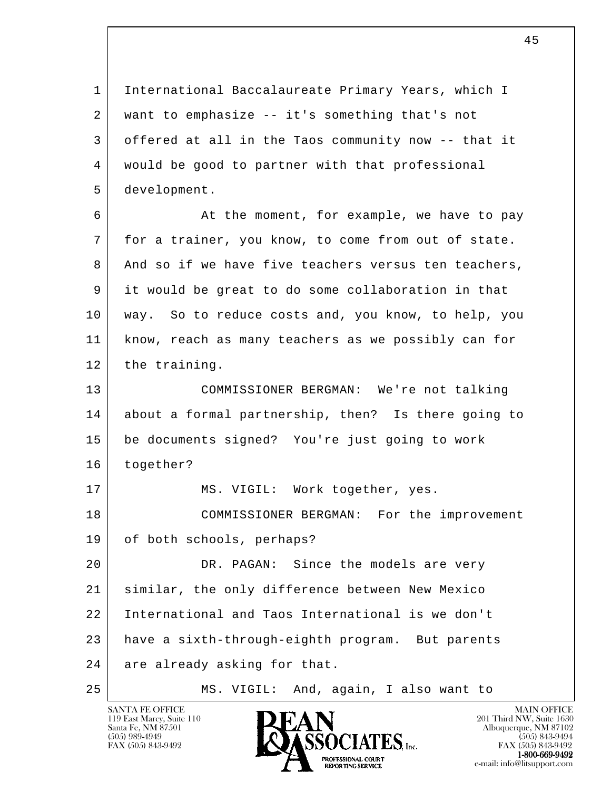l 1 International Baccalaureate Primary Years, which I 2 want to emphasize -- it's something that's not 3 offered at all in the Taos community now -- that it 4 would be good to partner with that professional 5 development. 6 At the moment, for example, we have to pay 7 for a trainer, you know, to come from out of state. 8 And so if we have five teachers versus ten teachers, 9 it would be great to do some collaboration in that 10 way. So to reduce costs and, you know, to help, you 11 know, reach as many teachers as we possibly can for 12 the training. 13 COMMISSIONER BERGMAN: We're not talking 14 about a formal partnership, then? Is there going to 15 be documents signed? You're just going to work 16 together? 17 | MS. VIGIL: Work together, yes. 18 COMMISSIONER BERGMAN: For the improvement 19 of both schools, perhaps? 20 DR. PAGAN: Since the models are very 21 similar, the only difference between New Mexico 22 International and Taos International is we don't 23 have a sixth-through-eighth program. But parents 24 are already asking for that. 25 MS. VIGIL: And, again, I also want to



FAX (505) 843-9492 FAX (505) 843-9492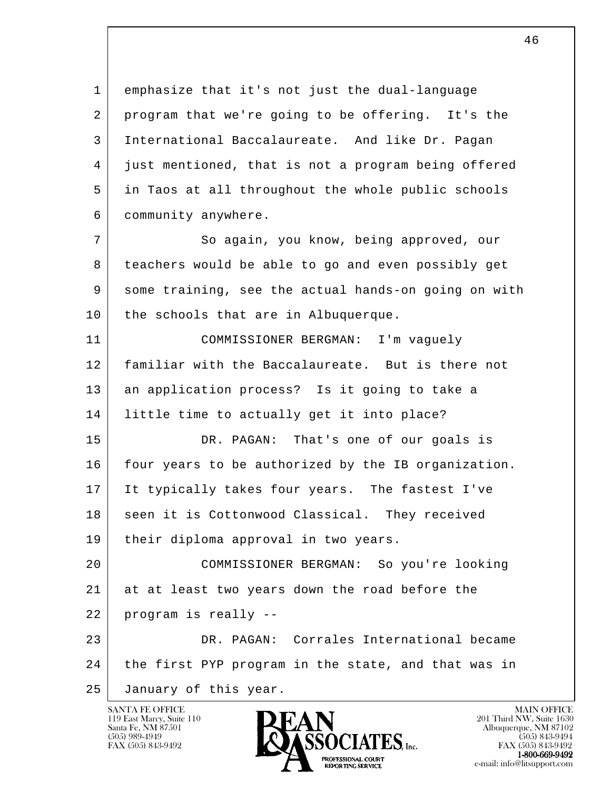1 emphasize that it's not just the dual-language 2 program that we're going to be offering. It's the 3 International Baccalaureate. And like Dr. Pagan 4 just mentioned, that is not a program being offered 5 in Taos at all throughout the whole public schools 6 community anywhere.

7 So again, you know, being approved, our 8 teachers would be able to go and even possibly get 9 some training, see the actual hands-on going on with 10 | the schools that are in Albuquerque.

 11 COMMISSIONER BERGMAN: I'm vaguely 12 familiar with the Baccalaureate. But is there not 13 an application process? Is it going to take a 14 little time to actually get it into place?

15 DR. PAGAN: That's one of our goals is 16 | four years to be authorized by the IB organization. 17 It typically takes four years. The fastest I've 18 seen it is Cottonwood Classical. They received 19 | their diploma approval in two years.

l 20 COMMISSIONER BERGMAN: So you're looking 21 at at least two years down the road before the 22 program is really -- 23 DR. PAGAN: Corrales International became

 24 the first PYP program in the state, and that was in

25 January of this year.

119 East Marcy, Suite 110<br>Santa Fe, NM 87501



FAX (505) 843-9492 FAX (505) 843-9492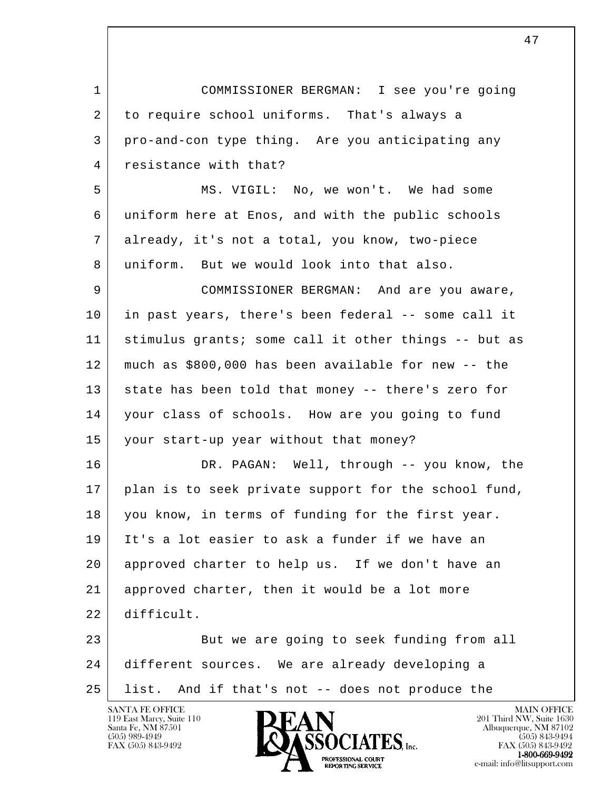l SANTA FE OFFICE MAIN OFFICE MAIN OFFICE MAIN OFFICE MAIN OFFICE 1 COMMISSIONER BERGMAN: I see you're going 2 to require school uniforms. That's always a 3 pro-and-con type thing. Are you anticipating any 4 resistance with that? 5 MS. VIGIL: No, we won't. We had some 6 uniform here at Enos, and with the public schools 7 already, it's not a total, you know, two-piece 8 uniform. But we would look into that also. 9 COMMISSIONER BERGMAN: And are you aware, 10 in past years, there's been federal -- some call it 11 stimulus grants; some call it other things -- but as 12 much as \$800,000 has been available for new -- the 13 state has been told that money -- there's zero for 14 | your class of schools. How are you going to fund 15 your start-up year without that money? 16 DR. PAGAN: Well, through -- you know, the 17 | plan is to seek private support for the school fund, 18 you know, in terms of funding for the first year. 19 It's a lot easier to ask a funder if we have an 20 approved charter to help us. If we don't have an 21 approved charter, then it would be a lot more 22 difficult. 23 But we are going to seek funding from all 24 different sources. We are already developing a 25 list. And if that's not -- does not produce the

47

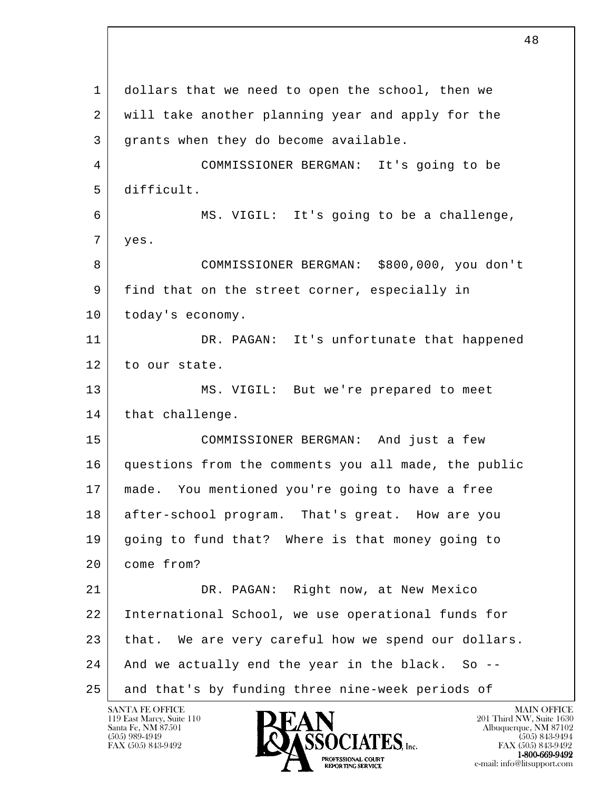l 1 dollars that we need to open the school, then we 2 will take another planning year and apply for the 3 grants when they do become available. 4 COMMISSIONER BERGMAN: It's going to be 5 difficult. 6 MS. VIGIL: It's going to be a challenge, 7 yes. 8 COMMISSIONER BERGMAN: \$800,000, you don't 9 find that on the street corner, especially in 10 | today's economy. 11 DR. PAGAN: It's unfortunate that happened 12 to our state. 13 MS. VIGIL: But we're prepared to meet 14 | that challenge. 15 COMMISSIONER BERGMAN: And just a few 16 questions from the comments you all made, the public 17 made. You mentioned you're going to have a free 18 after-school program. That's great. How are you 19 going to fund that? Where is that money going to 20 come from? 21 DR. PAGAN: Right now, at New Mexico 22 International School, we use operational funds for 23 | that. We are very careful how we spend our dollars. 24 And we actually end the year in the black. So -- 25 and that's by funding three nine-week periods of

119 East Marcy, Suite 110<br>Santa Fe, NM 87501

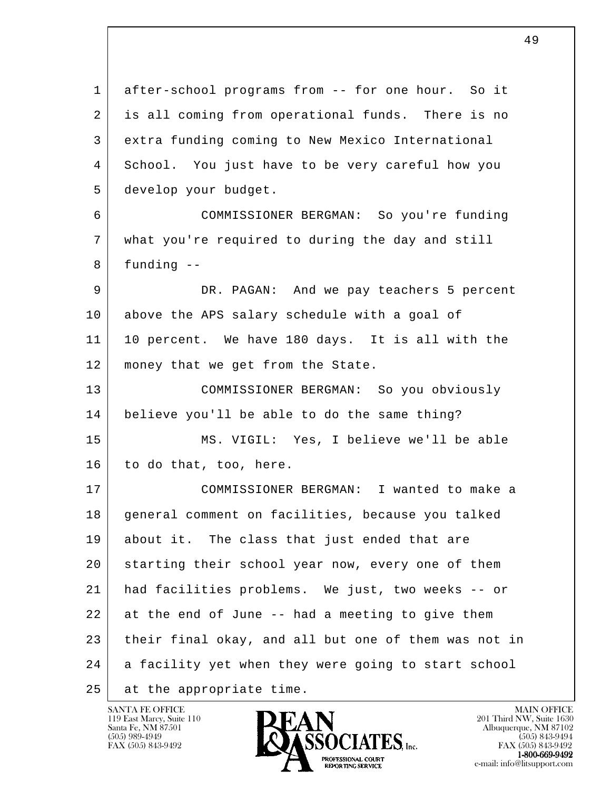l 1 after-school programs from -- for one hour. So it 2 is all coming from operational funds. There is no 3 extra funding coming to New Mexico International 4 School. You just have to be very careful how you 5 develop your budget. 6 COMMISSIONER BERGMAN: So you're funding 7 what you're required to during the day and still  $8$  funding  $-$  9 DR. PAGAN: And we pay teachers 5 percent 10 above the APS salary schedule with a goal of 11 10 percent. We have 180 days. It is all with the 12 | money that we get from the State. 13 COMMISSIONER BERGMAN: So you obviously 14 believe you'll be able to do the same thing? 15 MS. VIGIL: Yes, I believe we'll be able 16 to do that, too, here. 17 COMMISSIONER BERGMAN: I wanted to make a 18 general comment on facilities, because you talked 19 about it. The class that just ended that are 20 starting their school year now, every one of them 21 had facilities problems. We just, two weeks -- or 22 at the end of June -- had a meeting to give them 23 their final okay, and all but one of them was not in 24 a facility yet when they were going to start school 25 at the appropriate time.

49



FAX (505) 843-9492 FAX (505) 843-9492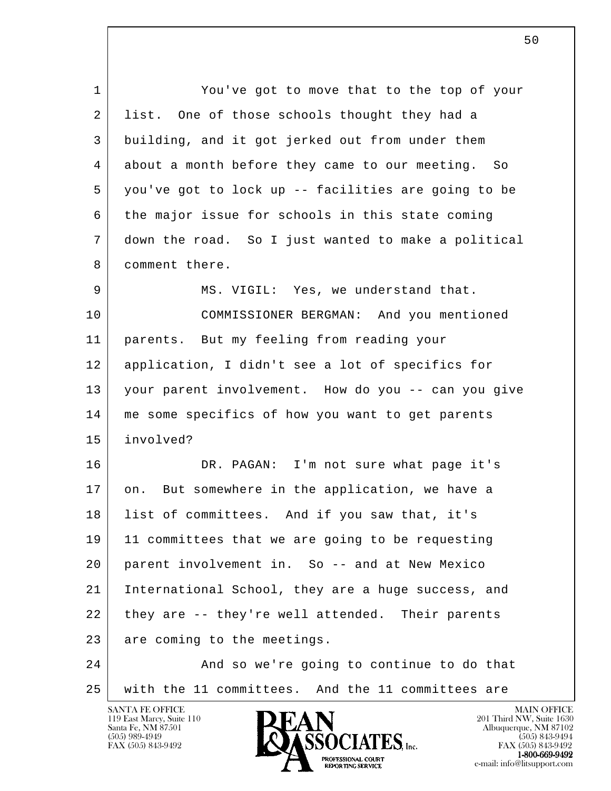l 1 You've got to move that to the top of your 2 list. One of those schools thought they had a 3 building, and it got jerked out from under them 4 about a month before they came to our meeting. So 5 you've got to lock up -- facilities are going to be 6 the major issue for schools in this state coming 7 down the road. So I just wanted to make a political 8 comment there. 9 MS. VIGIL: Yes, we understand that. 10 COMMISSIONER BERGMAN: And you mentioned 11 parents. But my feeling from reading your 12 application, I didn't see a lot of specifics for 13 your parent involvement. How do you -- can you give 14 me some specifics of how you want to get parents 15 involved? 16 DR. PAGAN: I'm not sure what page it's 17 on. But somewhere in the application, we have a 18 list of committees. And if you saw that, it's 19 11 committees that we are going to be requesting 20 parent involvement in. So -- and at New Mexico 21 International School, they are a huge success, and 22 they are -- they're well attended. Their parents 23 are coming to the meetings. 24 And so we're going to continue to do that 25 with the 11 committees. And the 11 committees are

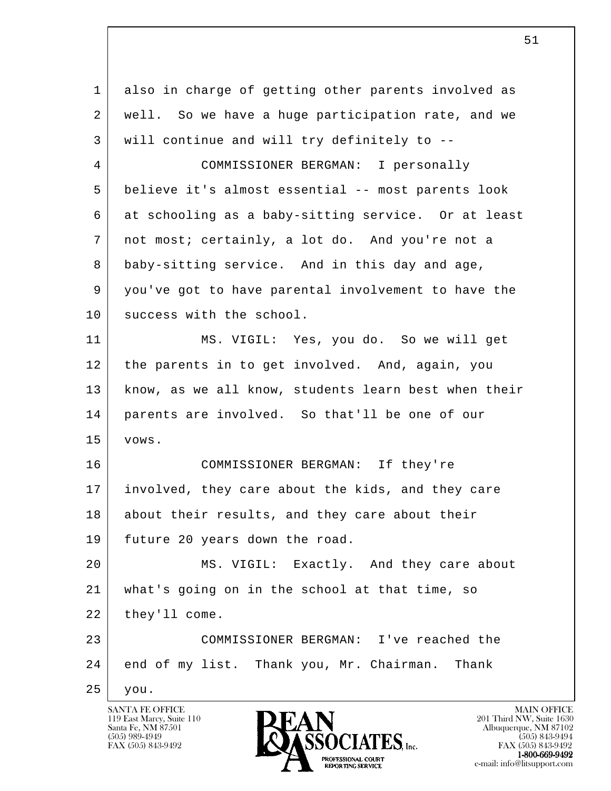| 1  | also in charge of getting other parents involved as  |
|----|------------------------------------------------------|
| 2  | well. So we have a huge participation rate, and we   |
| 3  | will continue and will try definitely to --          |
| 4  | COMMISSIONER BERGMAN: I personally                   |
| 5  | believe it's almost essential -- most parents look   |
| 6  | at schooling as a baby-sitting service. Or at least  |
| 7  | not most; certainly, a lot do. And you're not a      |
| 8  | baby-sitting service. And in this day and age,       |
| 9  | you've got to have parental involvement to have the  |
| 10 | success with the school.                             |
| 11 | MS. VIGIL: Yes, you do. So we will get               |
| 12 | the parents in to get involved. And, again, you      |
| 13 | know, as we all know, students learn best when their |
| 14 | parents are involved. So that'll be one of our       |
| 15 | VOWS.                                                |
| 16 | COMMISSIONER BERGMAN: If they're                     |
| 17 | involved, they care about the kids, and they care    |
| 18 | about their results, and they care about their       |
| 19 | future 20 years down the road.                       |
| 20 | MS. VIGIL: Exactly. And they care about              |
| 21 | what's going on in the school at that time, so       |
| 22 | they'll come.                                        |
| 23 | COMMISSIONER BERGMAN: I've reached the               |
| 24 | end of my list. Thank you, Mr. Chairman. Thank       |
| 25 | you.                                                 |

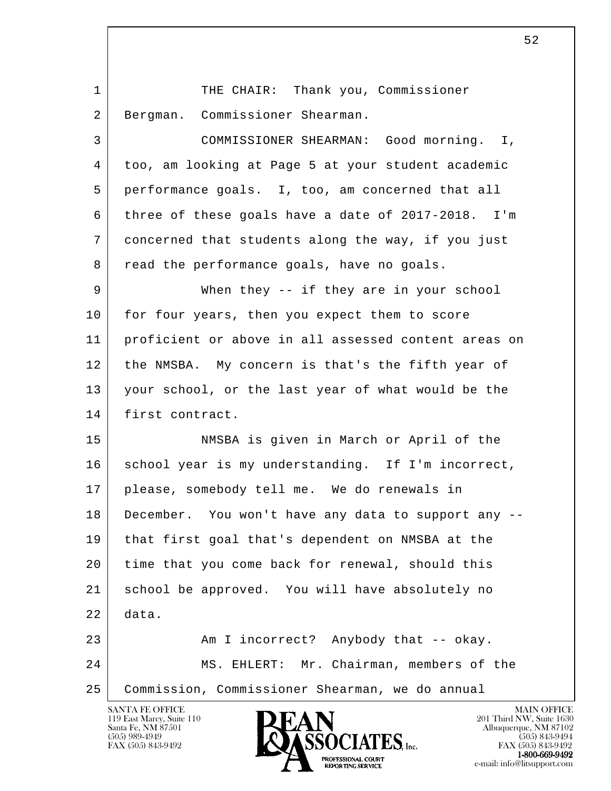| 1  | THE CHAIR: Thank you, Commissioner                   |
|----|------------------------------------------------------|
| 2  | Bergman. Commissioner Shearman.                      |
| 3  | COMMISSIONER SHEARMAN: Good morning. I,              |
| 4  | too, am looking at Page 5 at your student academic   |
| 5  | performance goals. I, too, am concerned that all     |
| 6  | three of these goals have a date of 2017-2018. I'm   |
| 7  | concerned that students along the way, if you just   |
| 8  | read the performance goals, have no goals.           |
| 9  | When they -- if they are in your school              |
| 10 | for four years, then you expect them to score        |
| 11 | proficient or above in all assessed content areas on |
| 12 | the NMSBA. My concern is that's the fifth year of    |
| 13 | your school, or the last year of what would be the   |
| 14 | first contract.                                      |
| 15 | NMSBA is given in March or April of the              |
| 16 | school year is my understanding. If I'm incorrect,   |
| 17 | please, somebody tell me. We do renewals in          |
| 18 | December. You won't have any data to support any --  |
| 19 | that first goal that's dependent on NMSBA at the     |
| 20 | time that you come back for renewal, should this     |
| 21 | school be approved. You will have absolutely no      |
| 22 | data.                                                |
| 23 | Am I incorrect? Anybody that -- okay.                |
| 24 | MS. EHLERT: Mr. Chairman, members of the             |
| 25 | Commission, Commissioner Shearman, we do annual      |
|    | <b>SANTA FE OFFICE</b><br><b>MAIN OFFICE</b>         |

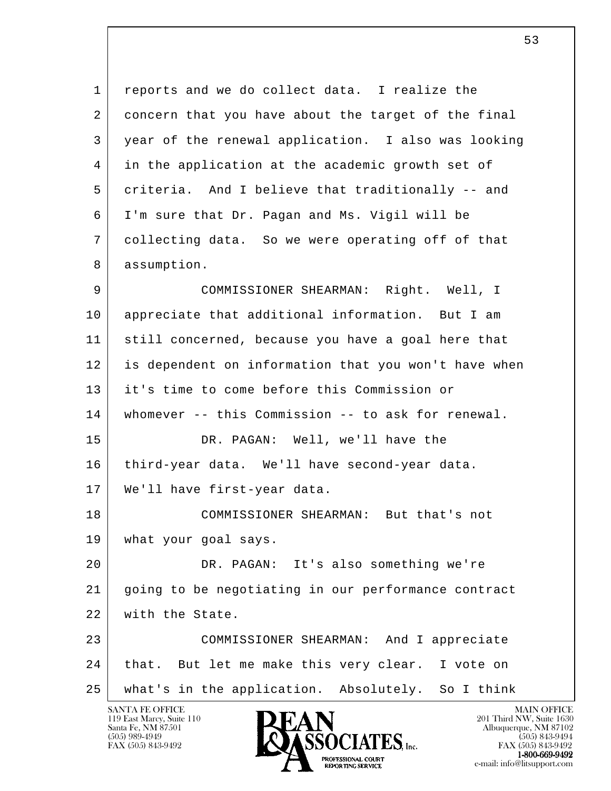l 1 reports and we do collect data. I realize the 2 concern that you have about the target of the final 3 year of the renewal application. I also was looking 4 in the application at the academic growth set of 5 criteria. And I believe that traditionally -- and 6 I'm sure that Dr. Pagan and Ms. Vigil will be 7 collecting data. So we were operating off of that 8 assumption. 9 COMMISSIONER SHEARMAN: Right. Well, I 10 appreciate that additional information. But I am 11 still concerned, because you have a goal here that 12 is dependent on information that you won't have when 13 it's time to come before this Commission or 14 whomever -- this Commission -- to ask for renewal. 15 DR. PAGAN: Well, we'll have the 16 | third-year data. We'll have second-year data. 17 | We'll have first-year data. 18 COMMISSIONER SHEARMAN: But that's not 19 | what your goal says. 20 DR. PAGAN: It's also something we're 21 going to be negotiating in our performance contract 22 with the State. 23 COMMISSIONER SHEARMAN: And I appreciate 24 that. But let me make this very clear. I vote on 25 what's in the application. Absolutely. So I think

119 East Marcy, Suite 110<br>Santa Fe, NM 87501



FAX (505) 843-9492 FAX (505) 843-9492 1-800-669-9492 e-mail: info@litsupport.com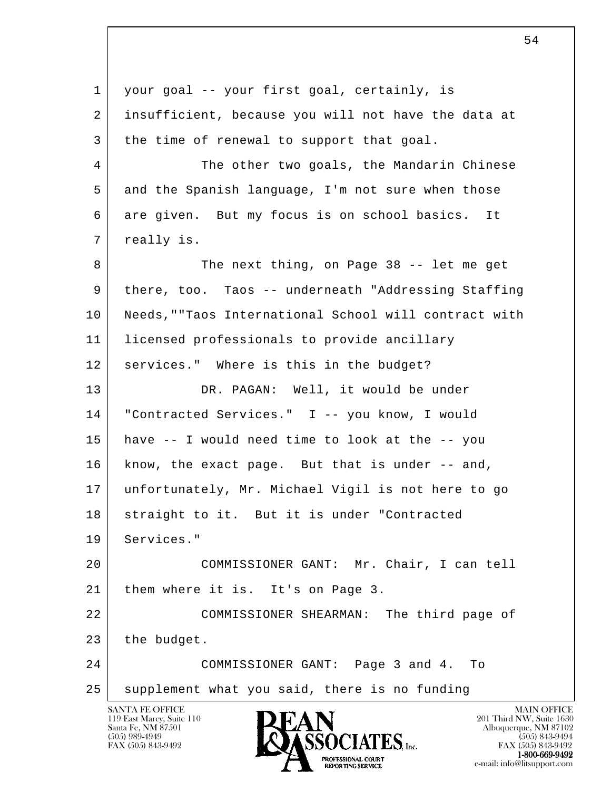l SANTA FE OFFICE MAIN OFFICE MAIN OFFICE MAIN OFFICE MAIN OFFICE 1 your goal -- your first goal, certainly, is 2 insufficient, because you will not have the data at 3 the time of renewal to support that goal. 4 The other two goals, the Mandarin Chinese 5 and the Spanish language, I'm not sure when those 6 are given. But my focus is on school basics. It 7 | really is. 8 The next thing, on Page 38 -- let me get 9 there, too. Taos -- underneath "Addressing Staffing 10 Needs,""Taos International School will contract with 11 licensed professionals to provide ancillary 12 services." Where is this in the budget? 13 | DR. PAGAN: Well, it would be under 14 "Contracted Services." I -- you know, I would 15 have -- I would need time to look at the -- you 16 | know, the exact page. But that is under -- and, 17 unfortunately, Mr. Michael Vigil is not here to go 18 | straight to it. But it is under "Contracted 19 Services." 20 COMMISSIONER GANT: Mr. Chair, I can tell 21 | them where it is. It's on Page 3. 22 COMMISSIONER SHEARMAN: The third page of  $23$  the budget. 24 COMMISSIONER GANT: Page 3 and 4. To 25 supplement what you said, there is no funding

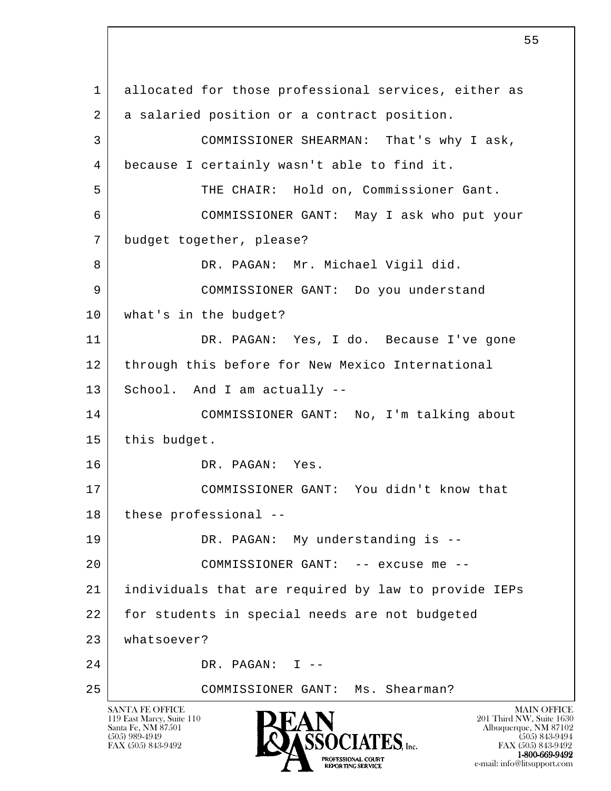l SANTA FE OFFICE MAIN OFFICE MAIN OFFICE MAIN OFFICE MAIN OFFICE 119 East Marcy, Suite 110<br>Santa Fe, NM 87501 Santa Fe, NM 87501 Albuquerque, NM 87102  $\sum_{\text{FAX (505) 843-9492}} \sum_{\text{FAX (505) 843-9492}} \sum_{\text{FAX (505) 843-9492}} \sum_{\text{FAX (505) 843-9492}}$ FAX (505) 843-9492<br>1-800-669-9492 1 allocated for those professional services, either as 2 | a salaried position or a contract position. 3 COMMISSIONER SHEARMAN: That's why I ask, 4 because I certainly wasn't able to find it. 5 THE CHAIR: Hold on, Commissioner Gant. 6 COMMISSIONER GANT: May I ask who put your 7 budget together, please? 8 DR. PAGAN: Mr. Michael Vigil did. 9 COMMISSIONER GANT: Do you understand 10 what's in the budget? 11 DR. PAGAN: Yes, I do. Because I've gone 12 through this before for New Mexico International 13 School. And I am actually -- 14 COMMISSIONER GANT: No, I'm talking about 15 this budget. 16 DR. PAGAN: Yes. 17 COMMISSIONER GANT: You didn't know that 18 these professional --19 DR. PAGAN: My understanding is -- 20 COMMISSIONER GANT: -- excuse me -- 21 individuals that are required by law to provide IEPs 22 for students in special needs are not budgeted 23 whatsoever? 24 DR. PAGAN: I -- 25 COMMISSIONER GANT: Ms. Shearman?

**1-800-669-9492**<br> **EXALTENDAM CN BT** 

e-mail: info@litsupport.com<br>
REPORTING SERVICE FREE C-mail: info@litsupport.com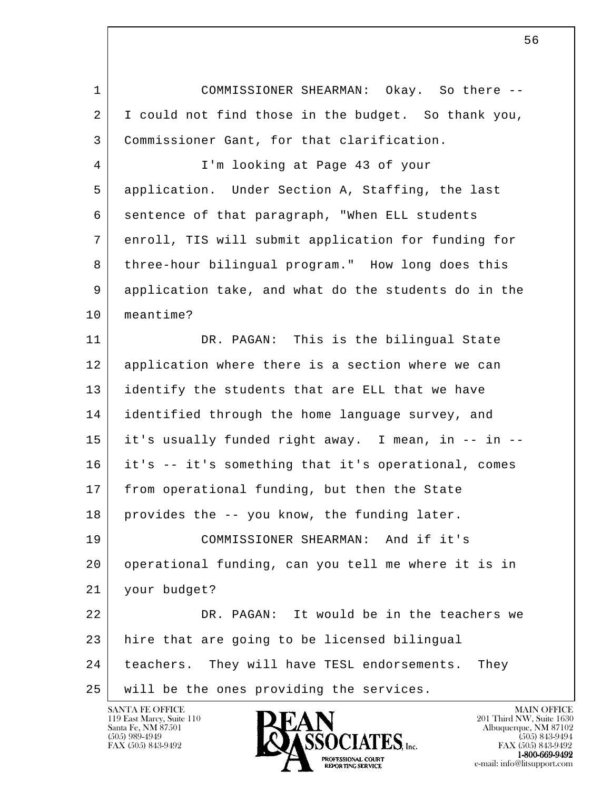1 COMMISSIONER SHEARMAN: Okay. So there -- 2 I could not find those in the budget. So thank you, 3 Commissioner Gant, for that clarification.

 4 I'm looking at Page 43 of your 5 application. Under Section A, Staffing, the last 6 sentence of that paragraph, "When ELL students 7 enroll, TIS will submit application for funding for 8 three-hour bilingual program." How long does this 9 application take, and what do the students do in the 10 meantime?

11 DR. PAGAN: This is the bilingual State 12 application where there is a section where we can 13 dentify the students that are ELL that we have 14 identified through the home language survey, and 15 it's usually funded right away. I mean, in -- in -- 16 it's -- it's something that it's operational, comes 17 from operational funding, but then the State 18 provides the -- you know, the funding later. 19 COMMISSIONER SHEARMAN: And if it's 20 operational funding, can you tell me where it is in 21 your budget?

l 22 DR. PAGAN: It would be in the teachers we 23 hire that are going to be licensed bilingual 24 | teachers. They will have TESL endorsements. They 25 will be the ones providing the services.

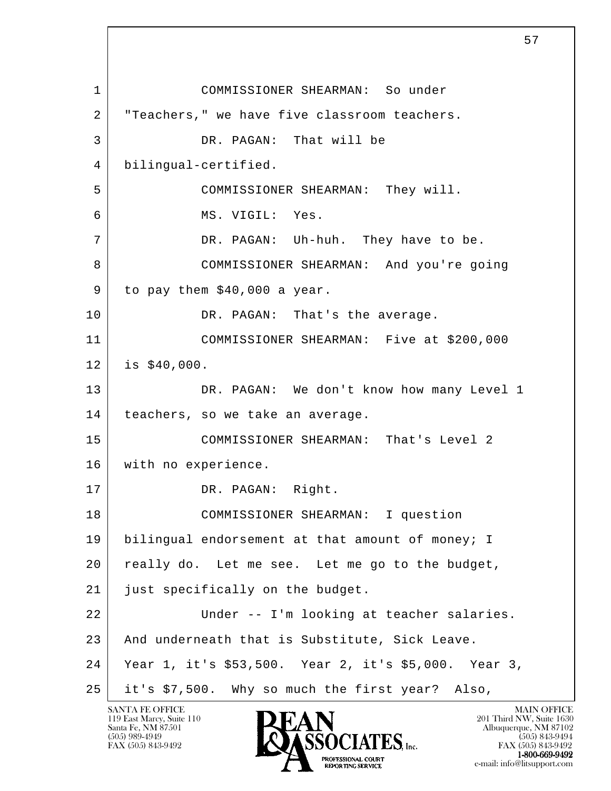l 1 COMMISSIONER SHEARMAN: So under 2 | "Teachers," we have five classroom teachers. 3 DR. PAGAN: That will be 4 bilingual-certified. 5 COMMISSIONER SHEARMAN: They will. 6 MS. VIGIL: Yes. 7 DR. PAGAN: Uh-huh. They have to be. 8 COMMISSIONER SHEARMAN: And you're going  $9$  to pay them \$40,000 a year. 10 DR. PAGAN: That's the average. 11 COMMISSIONER SHEARMAN: Five at \$200,000 12 is \$40,000. 13 DR. PAGAN: We don't know how many Level 1 14 | teachers, so we take an average. 15 COMMISSIONER SHEARMAN: That's Level 2 16 with no experience. 17 DR. PAGAN: Right. 18 COMMISSIONER SHEARMAN: I question 19 | bilingual endorsement at that amount of money; I 20 really do. Let me see. Let me go to the budget, 21 just specifically on the budget. 22 | Under -- I'm looking at teacher salaries. 23 And underneath that is Substitute, Sick Leave. 24 Year 1, it's \$53,500. Year 2, it's \$5,000. Year 3, 25 it's \$7,500. Why so much the first year? Also,

119 East Marcy, Suite 110<br>Santa Fe, NM 87501

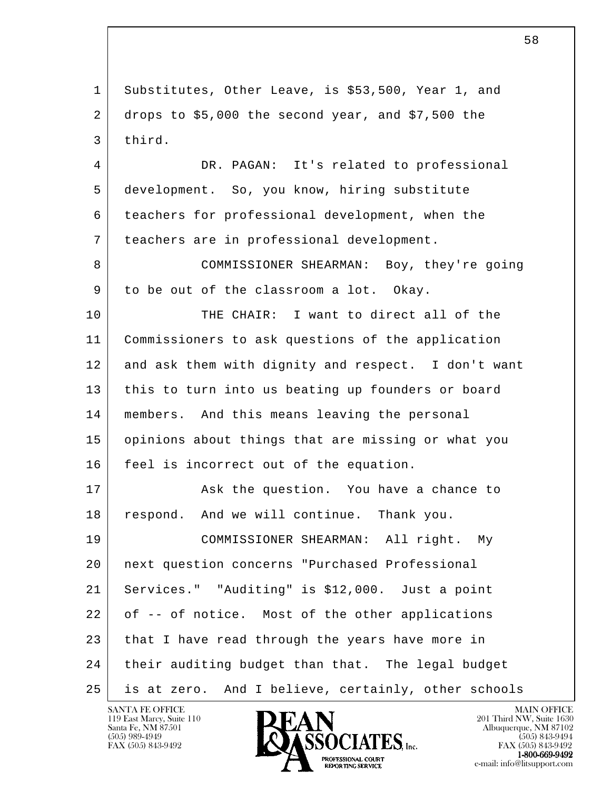l 1 Substitutes, Other Leave, is \$53,500, Year 1, and 2 drops to \$5,000 the second year, and \$7,500 the 3 third. 4 DR. PAGAN: It's related to professional 5 development. So, you know, hiring substitute 6 teachers for professional development, when the 7 teachers are in professional development. 8 COMMISSIONER SHEARMAN: Boy, they're going 9 to be out of the classroom a lot. Okay. 10 THE CHAIR: I want to direct all of the 11 Commissioners to ask questions of the application 12 and ask them with dignity and respect. I don't want 13 | this to turn into us beating up founders or board 14 members. And this means leaving the personal 15 opinions about things that are missing or what you 16 | feel is incorrect out of the equation. 17 Ask the question. You have a chance to 18 respond. And we will continue. Thank you. 19 COMMISSIONER SHEARMAN: All right. My 20 next question concerns "Purchased Professional 21 Services." "Auditing" is \$12,000. Just a point 22 of -- of notice. Most of the other applications 23 that I have read through the years have more in 24 their auditing budget than that. The legal budget 25 is at zero. And I believe, certainly, other schools

119 East Marcy, Suite 110<br>Santa Fe, NM 87501

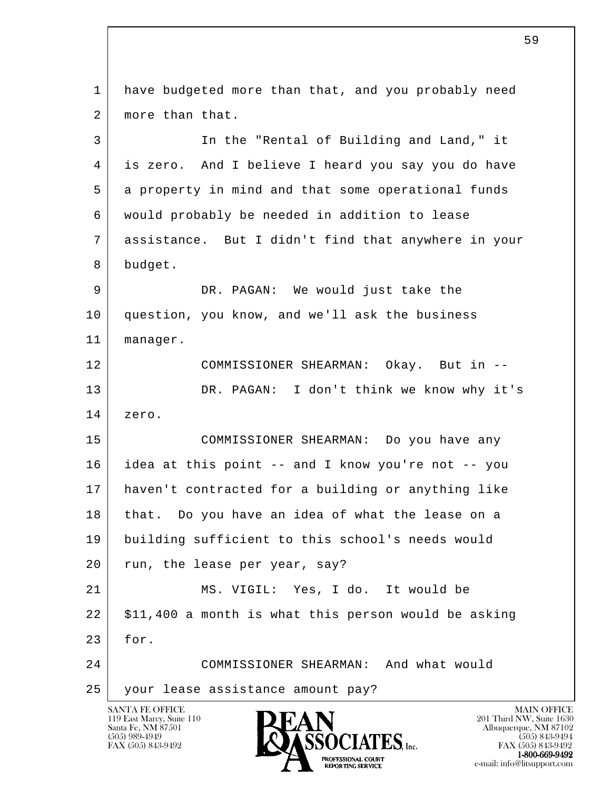l SANTA FE OFFICE MAIN OFFICE MAIN OFFICE MAIN OFFICE MAIN OFFICE 1 have budgeted more than that, and you probably need 2 | more than that. 3 In the "Rental of Building and Land," it 4 is zero. And I believe I heard you say you do have 5 a property in mind and that some operational funds 6 would probably be needed in addition to lease 7 assistance. But I didn't find that anywhere in your 8 budget. 9 DR. PAGAN: We would just take the 10 | question, you know, and we'll ask the business 11 manager. 12 COMMISSIONER SHEARMAN: Okay. But in -- 13 DR. PAGAN: I don't think we know why it's 14 zero. 15 COMMISSIONER SHEARMAN: Do you have any 16 idea at this point -- and I know you're not -- you 17 haven't contracted for a building or anything like 18 that. Do you have an idea of what the lease on a 19 building sufficient to this school's needs would 20 run, the lease per year, say? 21 MS. VIGIL: Yes, I do. It would be  $22$   $\mid$  \$11,400 a month is what this person would be asking 23 for. 24 COMMISSIONER SHEARMAN: And what would 25 your lease assistance amount pay?

119 East Marcy, Suite 110<br>Santa Fe, NM 87501

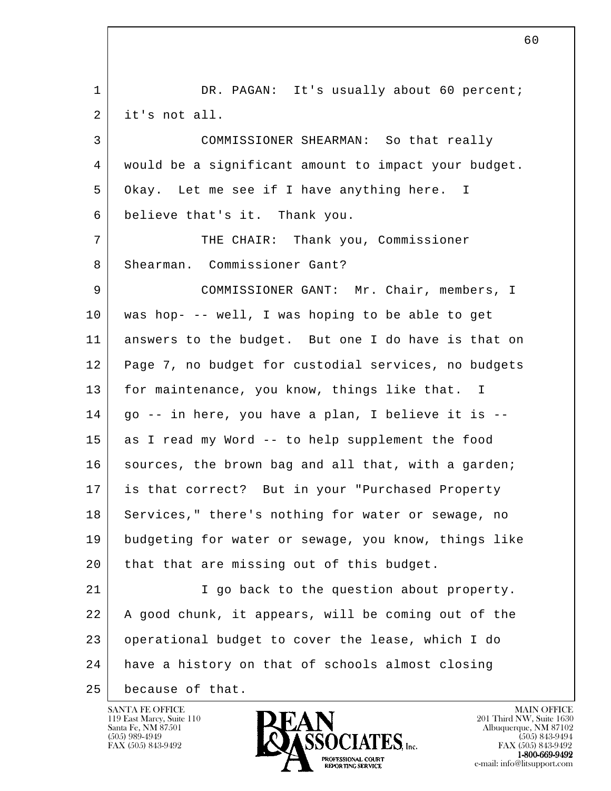l 1 DR. PAGAN: It's usually about 60 percent; 2 it's not all. 3 COMMISSIONER SHEARMAN: So that really 4 would be a significant amount to impact your budget. 5 Okay. Let me see if I have anything here. I 6 believe that's it. Thank you. 7 THE CHAIR: Thank you, Commissioner 8 Shearman. Commissioner Gant? 9 | COMMISSIONER GANT: Mr. Chair, members, I 10 was hop- -- well, I was hoping to be able to get 11 answers to the budget. But one I do have is that on 12 Page 7, no budget for custodial services, no budgets 13 for maintenance, you know, things like that. I 14 go -- in here, you have a plan, I believe it is -- 15 as I read my Word -- to help supplement the food 16 | sources, the brown bag and all that, with a garden; 17 is that correct? But in your "Purchased Property 18 Services," there's nothing for water or sewage, no 19 budgeting for water or sewage, you know, things like 20 that that are missing out of this budget. 21 I go back to the question about property. 22 A good chunk, it appears, will be coming out of the 23 operational budget to cover the lease, which I do 24 have a history on that of schools almost closing 25 because of that.

119 East Marcy, Suite 110<br>Santa Fe, NM 87501

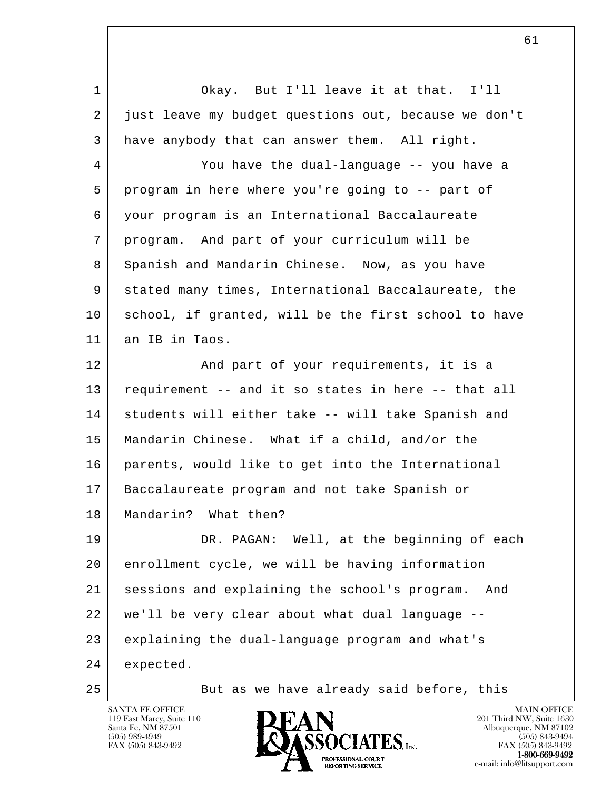l 1 Okay. But I'll leave it at that. I'll 2 just leave my budget questions out, because we don't 3 have anybody that can answer them. All right. 4 You have the dual-language -- you have a 5 program in here where you're going to -- part of 6 your program is an International Baccalaureate 7 program. And part of your curriculum will be 8 Spanish and Mandarin Chinese. Now, as you have 9 stated many times, International Baccalaureate, the 10 school, if granted, will be the first school to have 11 an IB in Taos. 12 And part of your requirements, it is a 13 requirement -- and it so states in here -- that all 14 students will either take -- will take Spanish and 15 | Mandarin Chinese. What if a child, and/or the 16 parents, would like to get into the International 17 Baccalaureate program and not take Spanish or 18 | Mandarin? What then? 19 DR. PAGAN: Well, at the beginning of each 20 enrollment cycle, we will be having information 21 sessions and explaining the school's program. And 22 we'll be very clear about what dual language -- 23 explaining the dual-language program and what's 24 expected. 25 But as we have already said before, this

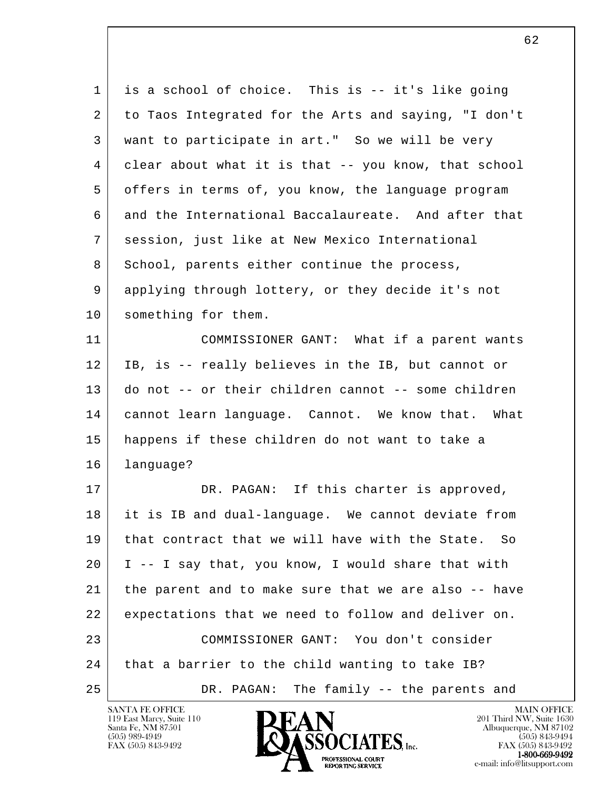| 1  | is a school of choice. This is -- it's like going    |
|----|------------------------------------------------------|
| 2  | to Taos Integrated for the Arts and saying, "I don't |
| 3  | want to participate in art." So we will be very      |
| 4  | clear about what it is that -- you know, that school |
| 5  | offers in terms of, you know, the language program   |
| 6  | and the International Baccalaureate. And after that  |
| 7  | session, just like at New Mexico International       |
| 8  | School, parents either continue the process,         |
| 9  | applying through lottery, or they decide it's not    |
| 10 | something for them.                                  |
| 11 | COMMISSIONER GANT: What if a parent wants            |
| 12 | IB, is -- really believes in the IB, but cannot or   |
| 13 | do not -- or their children cannot -- some children  |
| 14 | cannot learn language. Cannot. We know that. What    |
| 15 | happens if these children do not want to take a      |
| 16 | language?                                            |
| 17 | DR. PAGAN: If this charter is approved,              |
| 18 | it is IB and dual-language. We cannot deviate from   |
| 19 | that contract that we will have with the State. So   |
| 20 | I -- I say that, you know, I would share that with   |
| 21 | the parent and to make sure that we are also -- have |
| 22 | expectations that we need to follow and deliver on.  |
| 23 | COMMISSIONER GANT: You don't consider                |
| 24 | that a barrier to the child wanting to take IB?      |
| 25 | The family -- the parents and<br>DR. PAGAN:          |

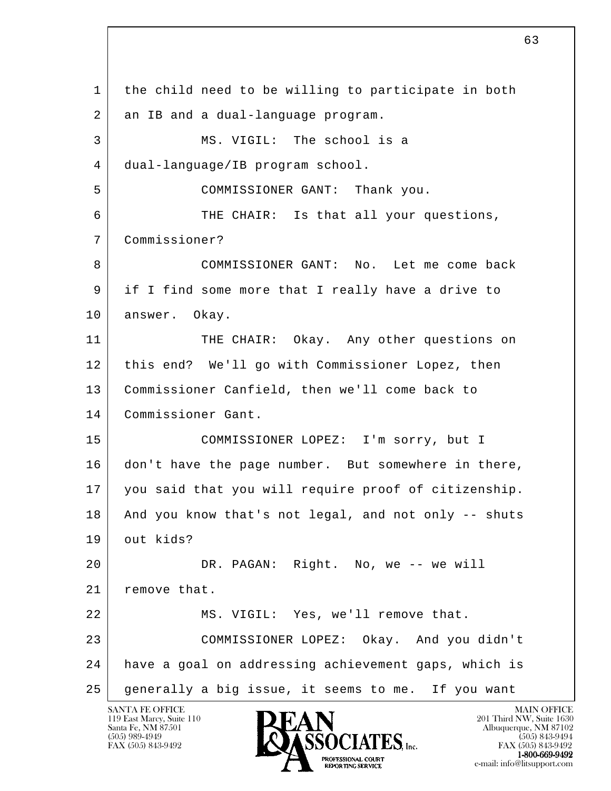l 1 the child need to be willing to participate in both 2 an IB and a dual-language program. 3 MS. VIGIL: The school is a 4 dual-language/IB program school. 5 COMMISSIONER GANT: Thank you. 6 THE CHAIR: Is that all your questions, 7 Commissioner? 8 COMMISSIONER GANT: No. Let me come back 9 if I find some more that I really have a drive to 10 answer. Okay. 11 THE CHAIR: Okay. Any other questions on 12 this end? We'll go with Commissioner Lopez, then 13 | Commissioner Canfield, then we'll come back to 14 Commissioner Gant. 15 COMMISSIONER LOPEZ: I'm sorry, but I 16 don't have the page number. But somewhere in there, 17 you said that you will require proof of citizenship. 18 And you know that's not legal, and not only -- shuts 19 out kids? 20 DR. PAGAN: Right. No, we -- we will 21 remove that. 22 | MS. VIGIL: Yes, we'll remove that. 23 COMMISSIONER LOPEZ: Okay. And you didn't 24 have a goal on addressing achievement gaps, which is 25 generally a big issue, it seems to me. If you want

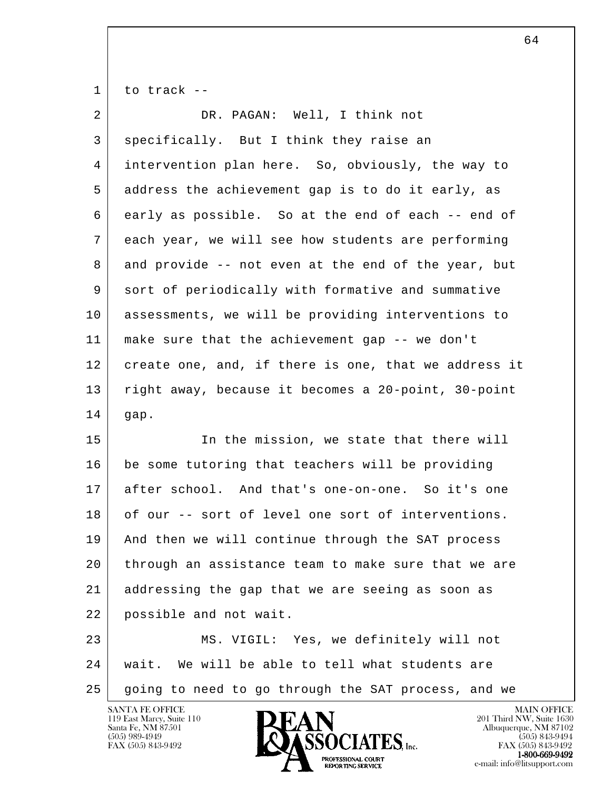$1$  to track --

| $\overline{2}$ | DR. PAGAN: Well, I think not                         |
|----------------|------------------------------------------------------|
| 3              | specifically. But I think they raise an              |
| 4              | intervention plan here. So, obviously, the way to    |
| 5              | address the achievement gap is to do it early, as    |
| 6              | early as possible. So at the end of each -- end of   |
| 7              | each year, we will see how students are performing   |
| 8              | and provide -- not even at the end of the year, but  |
| 9              | sort of periodically with formative and summative    |
| 10             | assessments, we will be providing interventions to   |
| 11             | make sure that the achievement gap -- we don't       |
| 12             | create one, and, if there is one, that we address it |
| 13             | right away, because it becomes a 20-point, 30-point  |
| 14             | gap.                                                 |
| 15             | In the mission, we state that there will             |
|                |                                                      |
| 16             | be some tutoring that teachers will be providing     |
| 17             | after school. And that's one-on-one. So it's one     |
| 18             | of our -- sort of level one sort of interventions.   |
| 19             | And then we will continue through the SAT process    |
| 20             | through an assistance team to make sure that we are  |
| 21             | addressing the gap that we are seeing as soon as     |
| 22             | possible and not wait.                               |
| 23             | MS. VIGIL: Yes, we definitely will not               |
| 24             | wait. We will be able to tell what students are      |

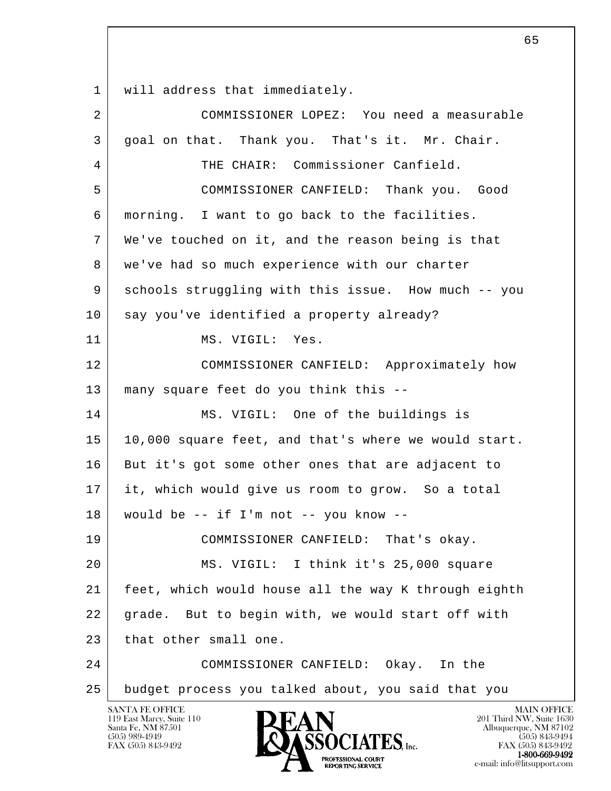1 | will address that immediately.

| $\overline{2}$ | COMMISSIONER LOPEZ: You need a measurable                                                                     |
|----------------|---------------------------------------------------------------------------------------------------------------|
| 3              | goal on that. Thank you. That's it. Mr. Chair.                                                                |
| 4              | THE CHAIR: Commissioner Canfield.                                                                             |
| 5              | COMMISSIONER CANFIELD: Thank you. Good                                                                        |
| 6              | morning. I want to go back to the facilities.                                                                 |
| 7              | We've touched on it, and the reason being is that                                                             |
| 8              | we've had so much experience with our charter                                                                 |
| 9              | schools struggling with this issue. How much -- you                                                           |
| 10             | say you've identified a property already?                                                                     |
| 11             | MS. VIGIL: Yes.                                                                                               |
| 12             | COMMISSIONER CANFIELD: Approximately how                                                                      |
| 13             | many square feet do you think this --                                                                         |
| 14             | MS. VIGIL: One of the buildings is                                                                            |
| 15             | 10,000 square feet, and that's where we would start.                                                          |
| 16             | But it's got some other ones that are adjacent to                                                             |
| 17             | it, which would give us room to grow. So a total                                                              |
| 18             | would be $--$ if I'm not $--$ you know $--$                                                                   |
| 19             | COMMISSIONER CANFIELD: That's okay.                                                                           |
| 20             | MS. VIGIL: I think it's 25,000 square                                                                         |
| 21             | feet, which would house all the way K through eighth                                                          |
| 22             | grade. But to begin with, we would start off with                                                             |
| 23             | that other small one.                                                                                         |
| 24             | COMMISSIONER CANFIELD: Okay. In the                                                                           |
| 25             | budget process you talked about, you said that you                                                            |
|                | <b>SANTA FE OFFICE</b><br><b>MAIN OFFICE</b><br>DFAN<br>119 East Marcy, Suite 110<br>201 Third NW, Suite 1630 |

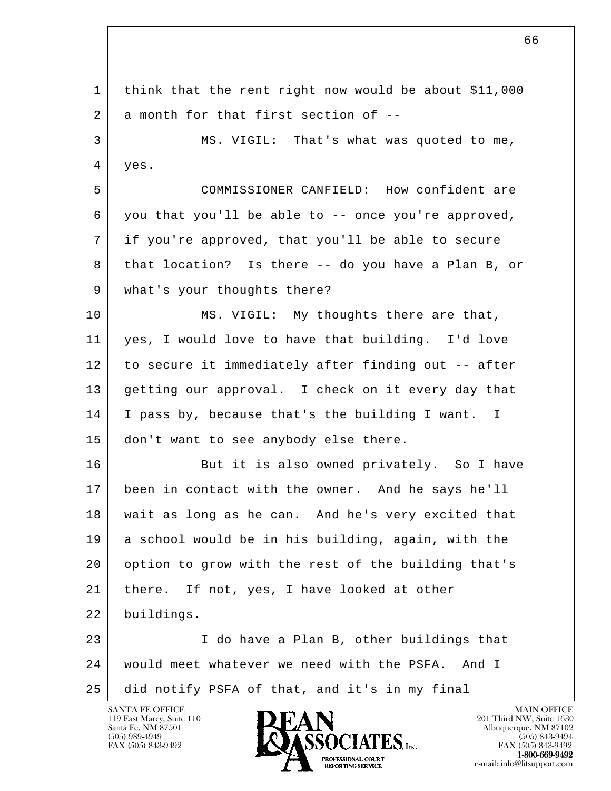l 1 think that the rent right now would be about \$11,000  $2$  a month for that first section of  $-$  3 MS. VIGIL: That's what was quoted to me, 4 yes. 5 COMMISSIONER CANFIELD: How confident are 6 you that you'll be able to  $-$ - once you're approved, 7 if you're approved, that you'll be able to secure 8 that location? Is there -- do you have a Plan B, or 9 | what's your thoughts there? 10 MS. VIGIL: My thoughts there are that, 11 yes, I would love to have that building. I'd love 12 to secure it immediately after finding out -- after 13 getting our approval. I check on it every day that 14 I pass by, because that's the building I want. I 15 don't want to see anybody else there. 16 But it is also owned privately. So I have 17 been in contact with the owner. And he says he'll 18 wait as long as he can. And he's very excited that 19 a school would be in his building, again, with the 20 option to grow with the rest of the building that's 21 | there. If not, yes, I have looked at other 22 buildings. 23 I do have a Plan B, other buildings that 24 would meet whatever we need with the PSFA. And I 25 did notify PSFA of that, and it's in my final

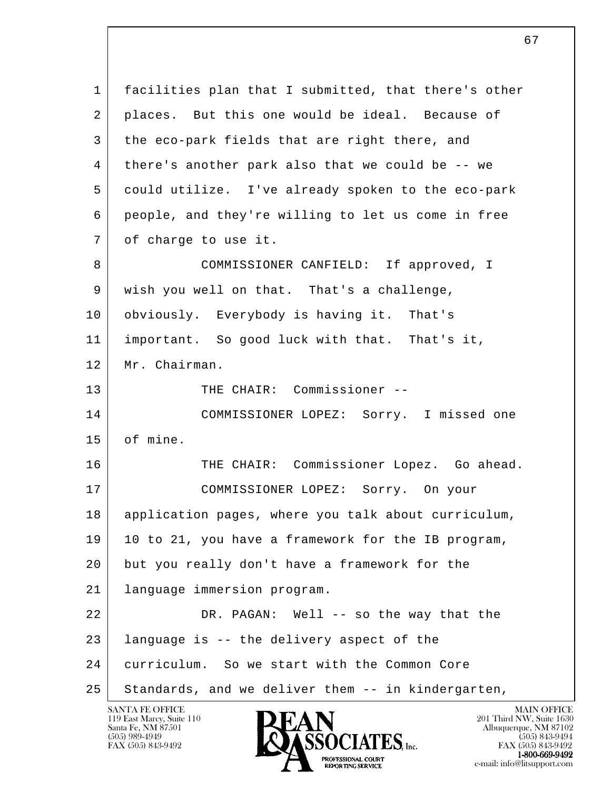l 1 | facilities plan that I submitted, that there's other 2 | places. But this one would be ideal. Because of 3 the eco-park fields that are right there, and 4 there's another park also that we could be -- we 5 could utilize. I've already spoken to the eco-park 6 people, and they're willing to let us come in free 7 of charge to use it. 8 COMMISSIONER CANFIELD: If approved, I 9 wish you well on that. That's a challenge, 10 obviously. Everybody is having it. That's 11 important. So good luck with that. That's it, 12 Mr. Chairman. 13 THE CHAIR: Commissioner -- 14 COMMISSIONER LOPEZ: Sorry. I missed one 15 of mine. 16 THE CHAIR: Commissioner Lopez. Go ahead. 17 COMMISSIONER LOPEZ: Sorry. On your 18 application pages, where you talk about curriculum, 19 10 to 21, you have a framework for the IB program, 20 but you really don't have a framework for the 21 language immersion program. 22 DR. PAGAN: Well -- so the way that the 23 language is -- the delivery aspect of the 24 curriculum. So we start with the Common Core 25 Standards, and we deliver them -- in kindergarten,

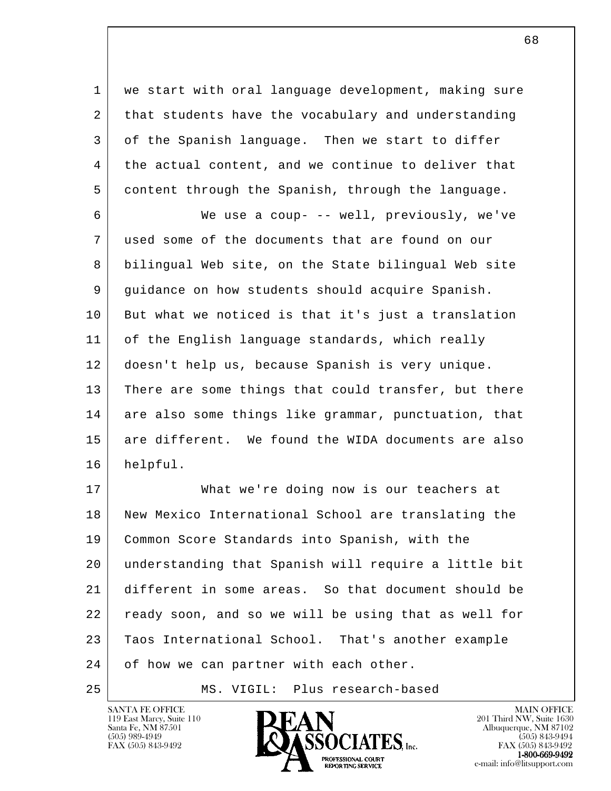1 we start with oral language development, making sure 2 that students have the vocabulary and understanding 3 of the Spanish language. Then we start to differ 4 the actual content, and we continue to deliver that 5 content through the Spanish, through the language.

 6 We use a coup- -- well, previously, we've 7 used some of the documents that are found on our 8 bilingual Web site, on the State bilingual Web site 9 guidance on how students should acquire Spanish. 10 But what we noticed is that it's just a translation 11 of the English language standards, which really 12 doesn't help us, because Spanish is very unique. 13 There are some things that could transfer, but there 14 are also some things like grammar, punctuation, that 15 are different. We found the WIDA documents are also 16 helpful.

l 17 What we're doing now is our teachers at 18 New Mexico International School are translating the 19 Common Score Standards into Spanish, with the 20 understanding that Spanish will require a little bit 21 different in some areas. So that document should be 22 ready soon, and so we will be using that as well for 23 Taos International School. That's another example 24 of how we can partner with each other.

25 | MS. VIGIL: Plus research-based

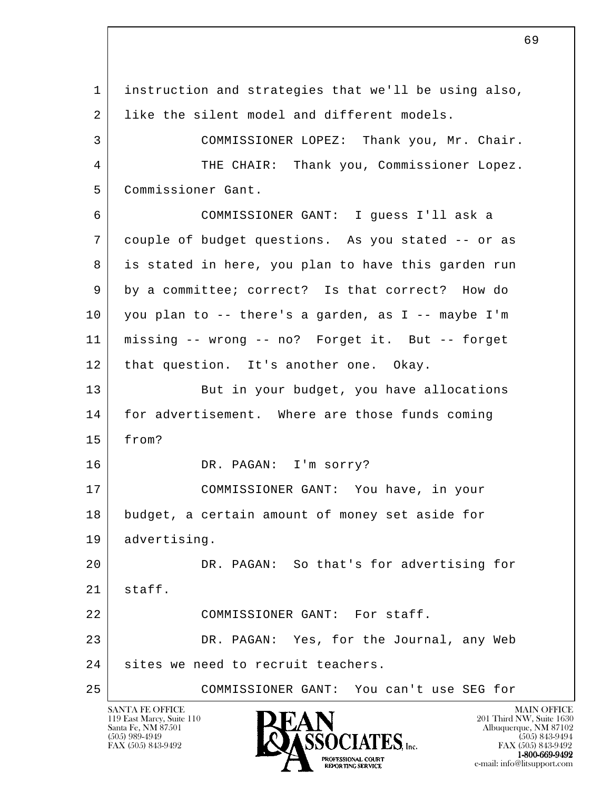l 1 instruction and strategies that we'll be using also, 2 | like the silent model and different models. 3 COMMISSIONER LOPEZ: Thank you, Mr. Chair. 4 THE CHAIR: Thank you, Commissioner Lopez. 5 Commissioner Gant. 6 COMMISSIONER GANT: I guess I'll ask a 7 couple of budget questions. As you stated -- or as 8 is stated in here, you plan to have this garden run 9 by a committee; correct? Is that correct? How do 10 you plan to -- there's a garden, as I -- maybe I'm 11 missing -- wrong -- no? Forget it. But -- forget 12 | that question. It's another one. Okay. 13 But in your budget, you have allocations 14 | for advertisement. Where are those funds coming 15 from? 16 DR. PAGAN: I'm sorry? 17 COMMISSIONER GANT: You have, in your 18 budget, a certain amount of money set aside for 19 advertising. 20 DR. PAGAN: So that's for advertising for  $21$  staff. 22 COMMISSIONER GANT: For staff. 23 DR. PAGAN: Yes, for the Journal, any Web 24 sites we need to recruit teachers. 25 COMMISSIONER GANT: You can't use SEG for

 $\sim$  69

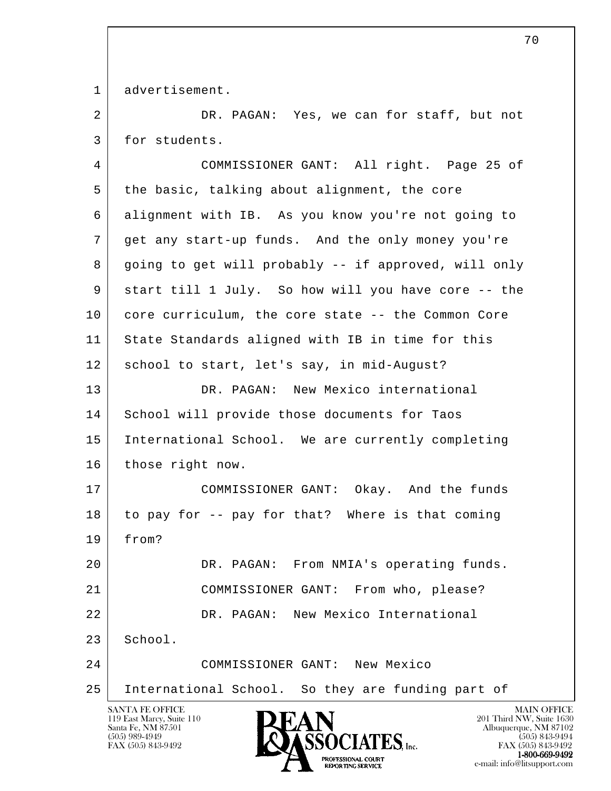1 advertisement.

2 DR. PAGAN: Yes, we can for staff, but not 3 for students.

l SANTA FE OFFICE MAIN OFFICE MAIN OFFICE MAIN OFFICE MAIN OFFICE 4 COMMISSIONER GANT: All right. Page 25 of 5 the basic, talking about alignment, the core 6 alignment with IB. As you know you're not going to 7 get any start-up funds. And the only money you're 8 going to get will probably -- if approved, will only 9 start till 1 July. So how will you have core -- the 10 core curriculum, the core state -- the Common Core 11 State Standards aligned with IB in time for this 12 school to start, let's say, in mid-August? 13 DR. PAGAN: New Mexico international 14 School will provide those documents for Taos 15 International School. We are currently completing 16 | those right now. 17 COMMISSIONER GANT: Okay. And the funds 18 to pay for -- pay for that? Where is that coming 19 from? 20 DR. PAGAN: From NMIA's operating funds. 21 COMMISSIONER GANT: From who, please? 22 DR. PAGAN: New Mexico International 23 School. 24 COMMISSIONER GANT: New Mexico 25 International School. So they are funding part of

119 East Marcy, Suite 110<br>Santa Fe, NM 87501



FAX (505) 843-9492 FAX (505) 843-9492 1-800-669-9492<br>PROFESSIONAL COURT **EXPORTING SERVICE**<br>REPORTING SERVICE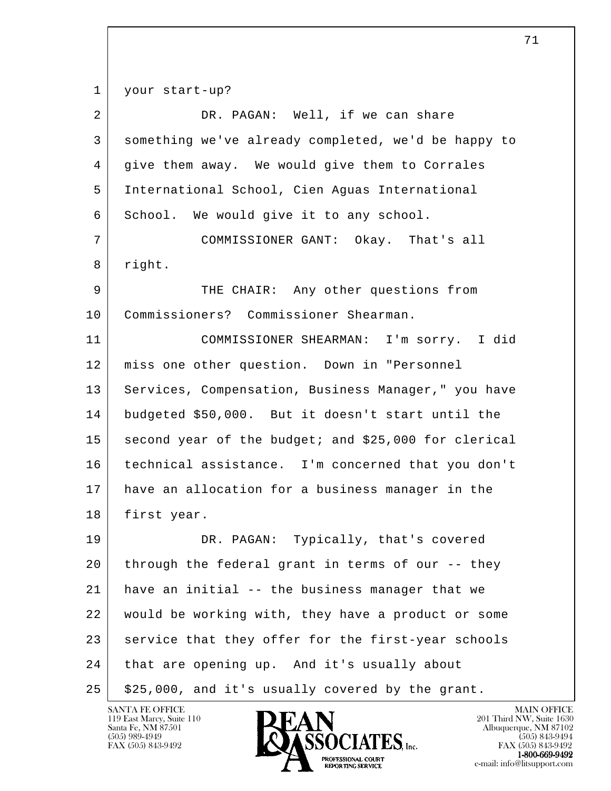1 your start-up?

| $\overline{2}$ | DR. PAGAN: Well, if we can share                     |
|----------------|------------------------------------------------------|
| 3              | something we've already completed, we'd be happy to  |
| 4              | give them away. We would give them to Corrales       |
| 5              | International School, Cien Aguas International       |
| 6              | School. We would give it to any school.              |
| 7              | COMMISSIONER GANT: Okay. That's all                  |
| 8              | right.                                               |
| 9              | THE CHAIR: Any other questions from                  |
| 10             | Commissioners? Commissioner Shearman.                |
| 11             | COMMISSIONER SHEARMAN: I'm sorry. I did              |
| 12             | miss one other question. Down in "Personnel          |
| 13             | Services, Compensation, Business Manager," you have  |
| 14             | budgeted \$50,000. But it doesn't start until the    |
| 15             | second year of the budget; and \$25,000 for clerical |
| 16             | technical assistance. I'm concerned that you don't   |
| 17             | have an allocation for a business manager in the     |
| 18             | first year.                                          |
| 19             | Typically, that's covered<br>DR. PAGAN:              |
| 20             | through the federal grant in terms of our -- they    |
| 21             | have an initial -- the business manager that we      |
| 22             | would be working with, they have a product or some   |
| 23             | service that they offer for the first-year schools   |
| 24             | that are opening up. And it's usually about          |
| 25             | \$25,000, and it's usually covered by the grant.     |

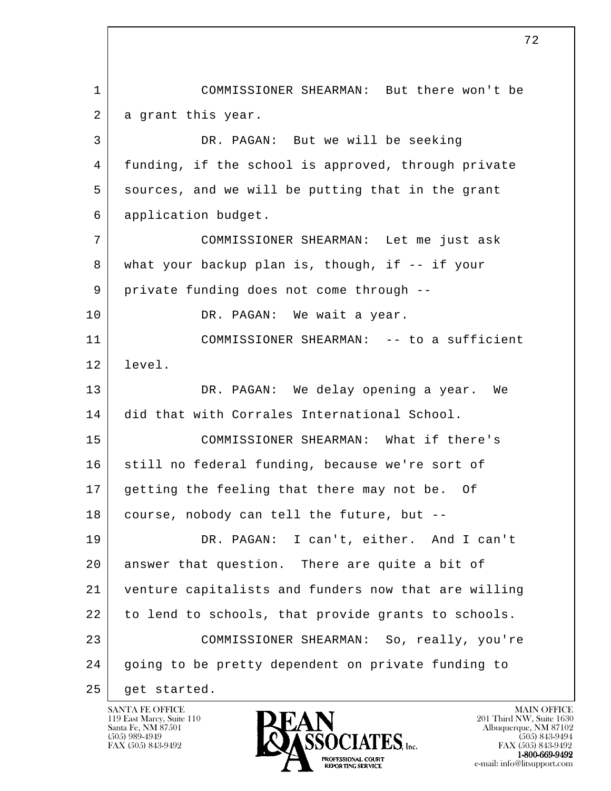l 1 COMMISSIONER SHEARMAN: But there won't be 2 a grant this year. 3 DR. PAGAN: But we will be seeking 4 funding, if the school is approved, through private 5 sources, and we will be putting that in the grant 6 application budget. 7 COMMISSIONER SHEARMAN: Let me just ask 8 what your backup plan is, though, if -- if your 9 private funding does not come through --10 DR. PAGAN: We wait a year. 11 COMMISSIONER SHEARMAN: -- to a sufficient 12 level. 13 DR. PAGAN: We delay opening a year. We 14 did that with Corrales International School. 15 COMMISSIONER SHEARMAN: What if there's 16 still no federal funding, because we're sort of 17 getting the feeling that there may not be. Of 18 course, nobody can tell the future, but -- 19 DR. PAGAN: I can't, either. And I can't 20 answer that question. There are quite a bit of 21 venture capitalists and funders now that are willing 22 to lend to schools, that provide grants to schools. 23 COMMISSIONER SHEARMAN: So, really, you're 24 going to be pretty dependent on private funding to 25 get started.

119 East Marcy, Suite 110<br>Santa Fe, NM 87501

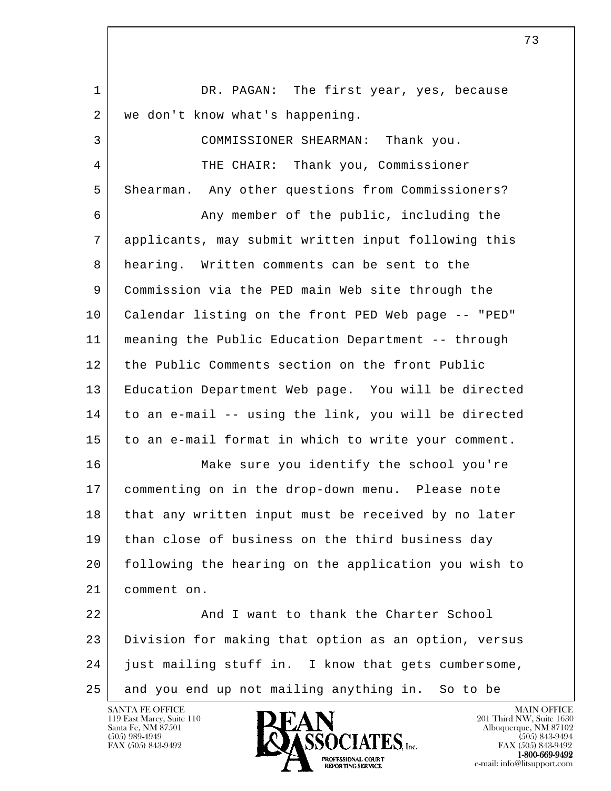l 1 DR. PAGAN: The first year, yes, because 2 | we don't know what's happening. 3 COMMISSIONER SHEARMAN: Thank you. 4 THE CHAIR: Thank you, Commissioner 5 Shearman. Any other questions from Commissioners? 6 **Any member of the public, including the**  7 applicants, may submit written input following this 8 hearing. Written comments can be sent to the 9 Commission via the PED main Web site through the 10 Calendar listing on the front PED Web page -- "PED" 11 meaning the Public Education Department -- through 12 the Public Comments section on the front Public 13 Education Department Web page. You will be directed 14 to an e-mail -- using the link, you will be directed 15 to an e-mail format in which to write your comment. 16 Make sure you identify the school you're 17 commenting on in the drop-down menu. Please note 18 that any written input must be received by no later 19 than close of business on the third business day 20 following the hearing on the application you wish to 21 comment on. 22 And I want to thank the Charter School 23 Division for making that option as an option, versus 24 just mailing stuff in. I know that gets cumbersome,

25 and you end up not mailing anything in. So to be



73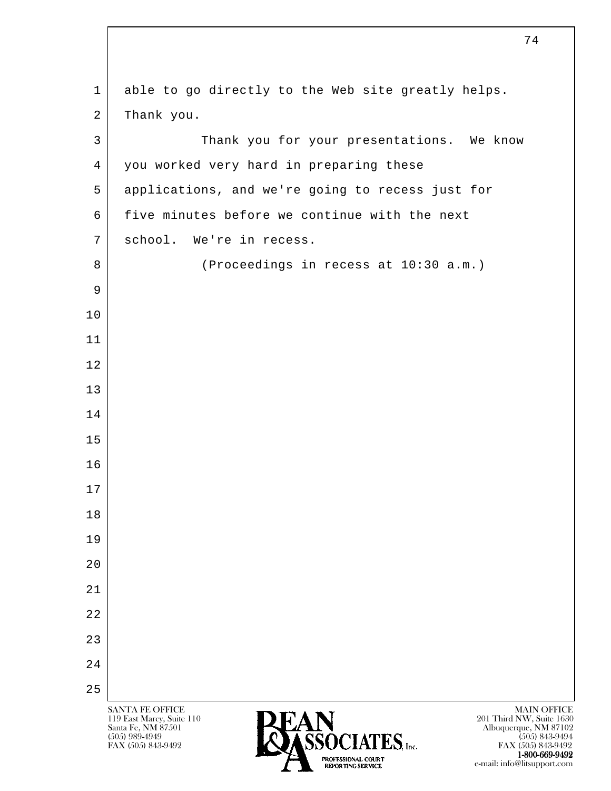| $\mathbf{1}$   | able to go directly to the Web site greatly helps.                                                                                                                                                                                                                                     |
|----------------|----------------------------------------------------------------------------------------------------------------------------------------------------------------------------------------------------------------------------------------------------------------------------------------|
| $\overline{2}$ | Thank you.                                                                                                                                                                                                                                                                             |
| $\mathsf{3}$   | Thank you for your presentations. We know                                                                                                                                                                                                                                              |
| 4              | you worked very hard in preparing these                                                                                                                                                                                                                                                |
| 5              | applications, and we're going to recess just for                                                                                                                                                                                                                                       |
| 6              | five minutes before we continue with the next                                                                                                                                                                                                                                          |
| 7              | school. We're in recess.                                                                                                                                                                                                                                                               |
| 8              | (Proceedings in recess at 10:30 a.m.)                                                                                                                                                                                                                                                  |
| 9              |                                                                                                                                                                                                                                                                                        |
| 10             |                                                                                                                                                                                                                                                                                        |
| 11             |                                                                                                                                                                                                                                                                                        |
| 12             |                                                                                                                                                                                                                                                                                        |
| 13             |                                                                                                                                                                                                                                                                                        |
| 14             |                                                                                                                                                                                                                                                                                        |
| 15             |                                                                                                                                                                                                                                                                                        |
| 16             |                                                                                                                                                                                                                                                                                        |
| 17             |                                                                                                                                                                                                                                                                                        |
| 18             |                                                                                                                                                                                                                                                                                        |
| 19             |                                                                                                                                                                                                                                                                                        |
| 20             |                                                                                                                                                                                                                                                                                        |
| 21             |                                                                                                                                                                                                                                                                                        |
| 22             |                                                                                                                                                                                                                                                                                        |
| 23             |                                                                                                                                                                                                                                                                                        |
| 24             |                                                                                                                                                                                                                                                                                        |
| 25             |                                                                                                                                                                                                                                                                                        |
|                | <b>MAIN OFFICE</b><br><b>SANTA FE OFFICE</b><br>201 Third NW, Suite 1630<br>119 East Marcy, Suite 110<br><b>EAIN</b><br>ASSOCIATES, <sub>Inc.</sub><br>Santa Fe, NM 87501<br>Albuquerque, NM 87102<br>$(505)$ 989-4949<br>$(505)$ 843-9494<br>FAX (505) 843-9492<br>FAX (505) 843-9492 |

**1-800-669-9492**<br> **EXALTENDAM CN BT** e-mail: info@litsupport.com